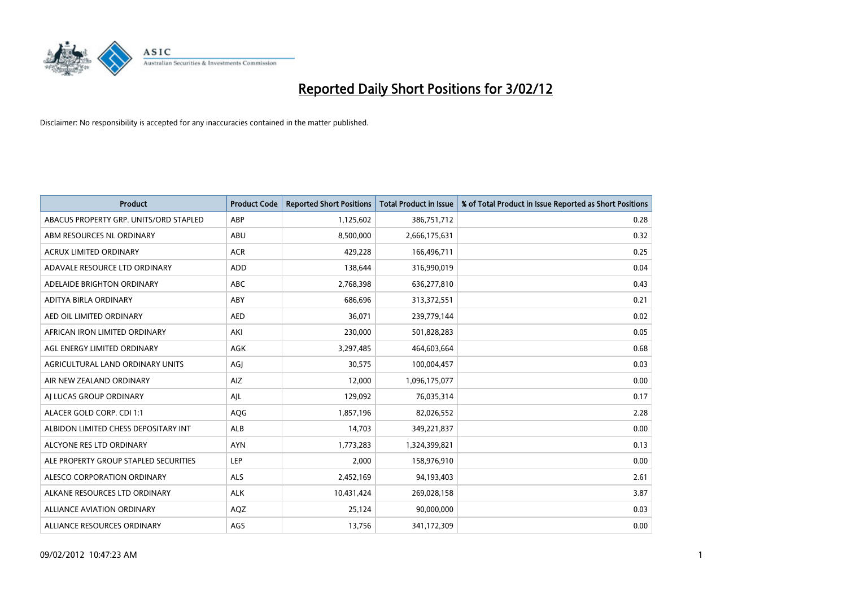

| <b>Product</b>                         | <b>Product Code</b> | <b>Reported Short Positions</b> | <b>Total Product in Issue</b> | % of Total Product in Issue Reported as Short Positions |
|----------------------------------------|---------------------|---------------------------------|-------------------------------|---------------------------------------------------------|
| ABACUS PROPERTY GRP. UNITS/ORD STAPLED | ABP                 | 1,125,602                       | 386,751,712                   | 0.28                                                    |
| ABM RESOURCES NL ORDINARY              | ABU                 | 8,500,000                       | 2,666,175,631                 | 0.32                                                    |
| <b>ACRUX LIMITED ORDINARY</b>          | <b>ACR</b>          | 429,228                         | 166,496,711                   | 0.25                                                    |
| ADAVALE RESOURCE LTD ORDINARY          | ADD                 | 138,644                         | 316,990,019                   | 0.04                                                    |
| ADELAIDE BRIGHTON ORDINARY             | <b>ABC</b>          | 2,768,398                       | 636,277,810                   | 0.43                                                    |
| ADITYA BIRLA ORDINARY                  | ABY                 | 686,696                         | 313,372,551                   | 0.21                                                    |
| AED OIL LIMITED ORDINARY               | <b>AED</b>          | 36.071                          | 239,779,144                   | 0.02                                                    |
| AFRICAN IRON LIMITED ORDINARY          | AKI                 | 230,000                         | 501,828,283                   | 0.05                                                    |
| AGL ENERGY LIMITED ORDINARY            | <b>AGK</b>          | 3,297,485                       | 464,603,664                   | 0.68                                                    |
| AGRICULTURAL LAND ORDINARY UNITS       | AGI                 | 30,575                          | 100,004,457                   | 0.03                                                    |
| AIR NEW ZEALAND ORDINARY               | AIZ                 | 12,000                          | 1,096,175,077                 | 0.00                                                    |
| AI LUCAS GROUP ORDINARY                | AJL                 | 129,092                         | 76,035,314                    | 0.17                                                    |
| ALACER GOLD CORP. CDI 1:1              | AQG                 | 1,857,196                       | 82,026,552                    | 2.28                                                    |
| ALBIDON LIMITED CHESS DEPOSITARY INT   | <b>ALB</b>          | 14,703                          | 349,221,837                   | 0.00                                                    |
| ALCYONE RES LTD ORDINARY               | <b>AYN</b>          | 1,773,283                       | 1,324,399,821                 | 0.13                                                    |
| ALE PROPERTY GROUP STAPLED SECURITIES  | <b>LEP</b>          | 2,000                           | 158,976,910                   | 0.00                                                    |
| ALESCO CORPORATION ORDINARY            | ALS                 | 2,452,169                       | 94,193,403                    | 2.61                                                    |
| ALKANE RESOURCES LTD ORDINARY          | <b>ALK</b>          | 10,431,424                      | 269,028,158                   | 3.87                                                    |
| <b>ALLIANCE AVIATION ORDINARY</b>      | AQZ                 | 25,124                          | 90,000,000                    | 0.03                                                    |
| ALLIANCE RESOURCES ORDINARY            | AGS                 | 13,756                          | 341,172,309                   | 0.00                                                    |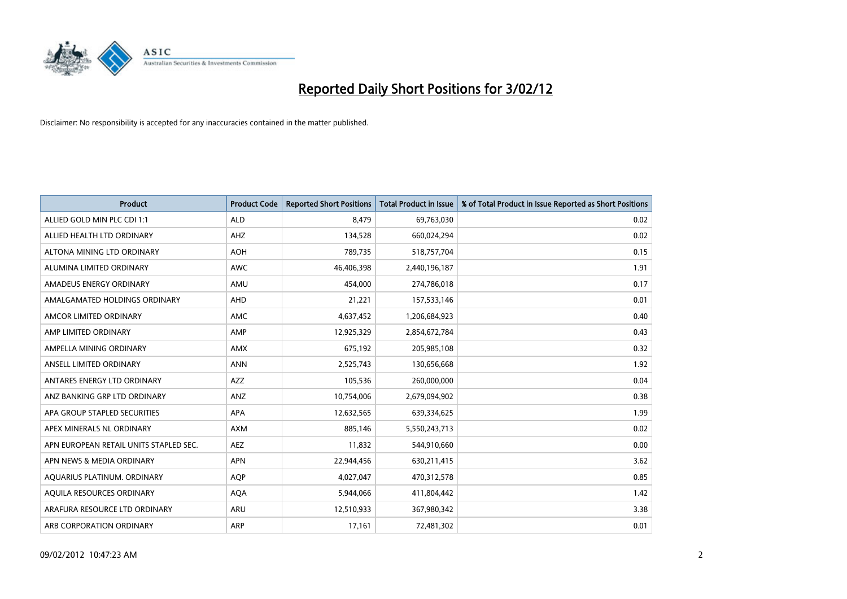

| <b>Product</b>                         | <b>Product Code</b> | <b>Reported Short Positions</b> | <b>Total Product in Issue</b> | % of Total Product in Issue Reported as Short Positions |
|----------------------------------------|---------------------|---------------------------------|-------------------------------|---------------------------------------------------------|
| ALLIED GOLD MIN PLC CDI 1:1            | <b>ALD</b>          | 8,479                           | 69,763,030                    | 0.02                                                    |
| ALLIED HEALTH LTD ORDINARY             | AHZ                 | 134,528                         | 660,024,294                   | 0.02                                                    |
| ALTONA MINING LTD ORDINARY             | <b>AOH</b>          | 789,735                         | 518,757,704                   | 0.15                                                    |
| ALUMINA LIMITED ORDINARY               | <b>AWC</b>          | 46,406,398                      | 2,440,196,187                 | 1.91                                                    |
| AMADEUS ENERGY ORDINARY                | AMU                 | 454,000                         | 274,786,018                   | 0.17                                                    |
| AMALGAMATED HOLDINGS ORDINARY          | AHD                 | 21,221                          | 157,533,146                   | 0.01                                                    |
| AMCOR LIMITED ORDINARY                 | <b>AMC</b>          | 4,637,452                       | 1,206,684,923                 | 0.40                                                    |
| AMP LIMITED ORDINARY                   | AMP                 | 12,925,329                      | 2,854,672,784                 | 0.43                                                    |
| AMPELLA MINING ORDINARY                | AMX                 | 675,192                         | 205,985,108                   | 0.32                                                    |
| ANSELL LIMITED ORDINARY                | <b>ANN</b>          | 2,525,743                       | 130,656,668                   | 1.92                                                    |
| ANTARES ENERGY LTD ORDINARY            | AZZ                 | 105,536                         | 260,000,000                   | 0.04                                                    |
| ANZ BANKING GRP LTD ORDINARY           | ANZ                 | 10,754,006                      | 2,679,094,902                 | 0.38                                                    |
| APA GROUP STAPLED SECURITIES           | APA                 | 12,632,565                      | 639,334,625                   | 1.99                                                    |
| APEX MINERALS NL ORDINARY              | <b>AXM</b>          | 885,146                         | 5,550,243,713                 | 0.02                                                    |
| APN EUROPEAN RETAIL UNITS STAPLED SEC. | <b>AEZ</b>          | 11,832                          | 544,910,660                   | 0.00                                                    |
| APN NEWS & MEDIA ORDINARY              | <b>APN</b>          | 22,944,456                      | 630,211,415                   | 3.62                                                    |
| AQUARIUS PLATINUM. ORDINARY            | <b>AQP</b>          | 4,027,047                       | 470,312,578                   | 0.85                                                    |
| AQUILA RESOURCES ORDINARY              | <b>AQA</b>          | 5,944,066                       | 411,804,442                   | 1.42                                                    |
| ARAFURA RESOURCE LTD ORDINARY          | ARU                 | 12,510,933                      | 367,980,342                   | 3.38                                                    |
| ARB CORPORATION ORDINARY               | ARP                 | 17,161                          | 72,481,302                    | 0.01                                                    |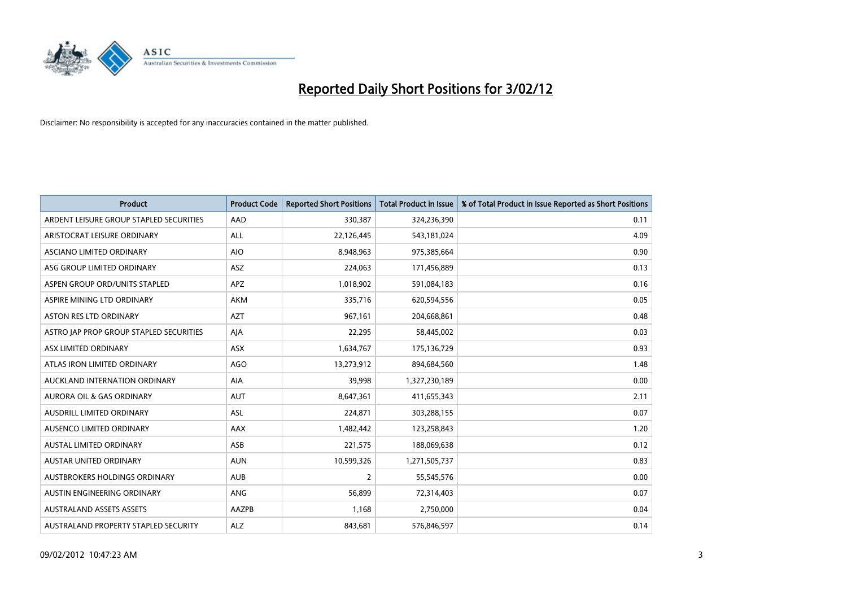

| <b>Product</b>                          | <b>Product Code</b> | <b>Reported Short Positions</b> | <b>Total Product in Issue</b> | % of Total Product in Issue Reported as Short Positions |
|-----------------------------------------|---------------------|---------------------------------|-------------------------------|---------------------------------------------------------|
| ARDENT LEISURE GROUP STAPLED SECURITIES | AAD                 | 330,387                         | 324,236,390                   | 0.11                                                    |
| ARISTOCRAT LEISURE ORDINARY             | ALL                 | 22,126,445                      | 543,181,024                   | 4.09                                                    |
| ASCIANO LIMITED ORDINARY                | <b>AIO</b>          | 8,948,963                       | 975,385,664                   | 0.90                                                    |
| ASG GROUP LIMITED ORDINARY              | <b>ASZ</b>          | 224,063                         | 171,456,889                   | 0.13                                                    |
| ASPEN GROUP ORD/UNITS STAPLED           | <b>APZ</b>          | 1,018,902                       | 591,084,183                   | 0.16                                                    |
| ASPIRE MINING LTD ORDINARY              | <b>AKM</b>          | 335,716                         | 620,594,556                   | 0.05                                                    |
| ASTON RES LTD ORDINARY                  | <b>AZT</b>          | 967,161                         | 204,668,861                   | 0.48                                                    |
| ASTRO JAP PROP GROUP STAPLED SECURITIES | AJA                 | 22,295                          | 58,445,002                    | 0.03                                                    |
| ASX LIMITED ORDINARY                    | <b>ASX</b>          | 1,634,767                       | 175,136,729                   | 0.93                                                    |
| ATLAS IRON LIMITED ORDINARY             | <b>AGO</b>          | 13,273,912                      | 894,684,560                   | 1.48                                                    |
| AUCKLAND INTERNATION ORDINARY           | AIA                 | 39,998                          | 1,327,230,189                 | 0.00                                                    |
| AURORA OIL & GAS ORDINARY               | AUT                 | 8,647,361                       | 411,655,343                   | 2.11                                                    |
| AUSDRILL LIMITED ORDINARY               | ASL                 | 224,871                         | 303,288,155                   | 0.07                                                    |
| AUSENCO LIMITED ORDINARY                | AAX                 | 1,482,442                       | 123,258,843                   | 1.20                                                    |
| <b>AUSTAL LIMITED ORDINARY</b>          | ASB                 | 221,575                         | 188,069,638                   | 0.12                                                    |
| AUSTAR UNITED ORDINARY                  | <b>AUN</b>          | 10,599,326                      | 1,271,505,737                 | 0.83                                                    |
| AUSTBROKERS HOLDINGS ORDINARY           | <b>AUB</b>          | $\overline{2}$                  | 55,545,576                    | 0.00                                                    |
| AUSTIN ENGINEERING ORDINARY             | ANG                 | 56,899                          | 72,314,403                    | 0.07                                                    |
| <b>AUSTRALAND ASSETS ASSETS</b>         | AAZPB               | 1,168                           | 2,750,000                     | 0.04                                                    |
| AUSTRALAND PROPERTY STAPLED SECURITY    | ALZ                 | 843,681                         | 576,846,597                   | 0.14                                                    |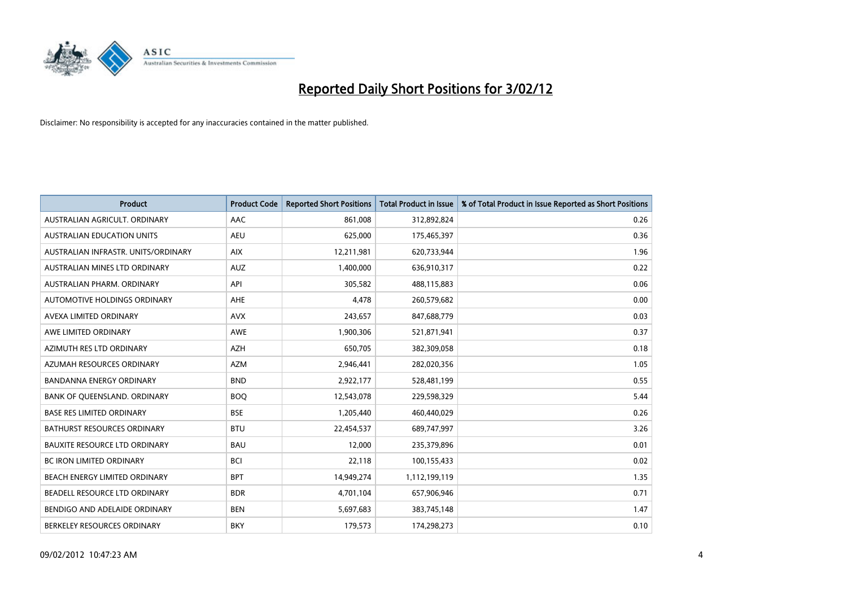

| <b>Product</b>                       | <b>Product Code</b> | <b>Reported Short Positions</b> | <b>Total Product in Issue</b> | % of Total Product in Issue Reported as Short Positions |
|--------------------------------------|---------------------|---------------------------------|-------------------------------|---------------------------------------------------------|
| AUSTRALIAN AGRICULT, ORDINARY        | AAC                 | 861,008                         | 312,892,824                   | 0.26                                                    |
| AUSTRALIAN EDUCATION UNITS           | <b>AEU</b>          | 625,000                         | 175,465,397                   | 0.36                                                    |
| AUSTRALIAN INFRASTR, UNITS/ORDINARY  | <b>AIX</b>          | 12,211,981                      | 620,733,944                   | 1.96                                                    |
| AUSTRALIAN MINES LTD ORDINARY        | <b>AUZ</b>          | 1,400,000                       | 636,910,317                   | 0.22                                                    |
| AUSTRALIAN PHARM, ORDINARY           | API                 | 305,582                         | 488,115,883                   | 0.06                                                    |
| AUTOMOTIVE HOLDINGS ORDINARY         | AHE                 | 4,478                           | 260,579,682                   | 0.00                                                    |
| AVEXA LIMITED ORDINARY               | <b>AVX</b>          | 243,657                         | 847,688,779                   | 0.03                                                    |
| AWE LIMITED ORDINARY                 | <b>AWE</b>          | 1,900,306                       | 521,871,941                   | 0.37                                                    |
| AZIMUTH RES LTD ORDINARY             | <b>AZH</b>          | 650,705                         | 382,309,058                   | 0.18                                                    |
| AZUMAH RESOURCES ORDINARY            | <b>AZM</b>          | 2,946,441                       | 282,020,356                   | 1.05                                                    |
| <b>BANDANNA ENERGY ORDINARY</b>      | <b>BND</b>          | 2,922,177                       | 528,481,199                   | 0.55                                                    |
| BANK OF QUEENSLAND. ORDINARY         | <b>BOQ</b>          | 12,543,078                      | 229,598,329                   | 5.44                                                    |
| <b>BASE RES LIMITED ORDINARY</b>     | <b>BSE</b>          | 1,205,440                       | 460,440,029                   | 0.26                                                    |
| <b>BATHURST RESOURCES ORDINARY</b>   | <b>BTU</b>          | 22,454,537                      | 689,747,997                   | 3.26                                                    |
| <b>BAUXITE RESOURCE LTD ORDINARY</b> | <b>BAU</b>          | 12,000                          | 235,379,896                   | 0.01                                                    |
| BC IRON LIMITED ORDINARY             | <b>BCI</b>          | 22,118                          | 100,155,433                   | 0.02                                                    |
| BEACH ENERGY LIMITED ORDINARY        | <b>BPT</b>          | 14,949,274                      | 1,112,199,119                 | 1.35                                                    |
| BEADELL RESOURCE LTD ORDINARY        | <b>BDR</b>          | 4,701,104                       | 657,906,946                   | 0.71                                                    |
| BENDIGO AND ADELAIDE ORDINARY        | <b>BEN</b>          | 5,697,683                       | 383,745,148                   | 1.47                                                    |
| BERKELEY RESOURCES ORDINARY          | <b>BKY</b>          | 179,573                         | 174,298,273                   | 0.10                                                    |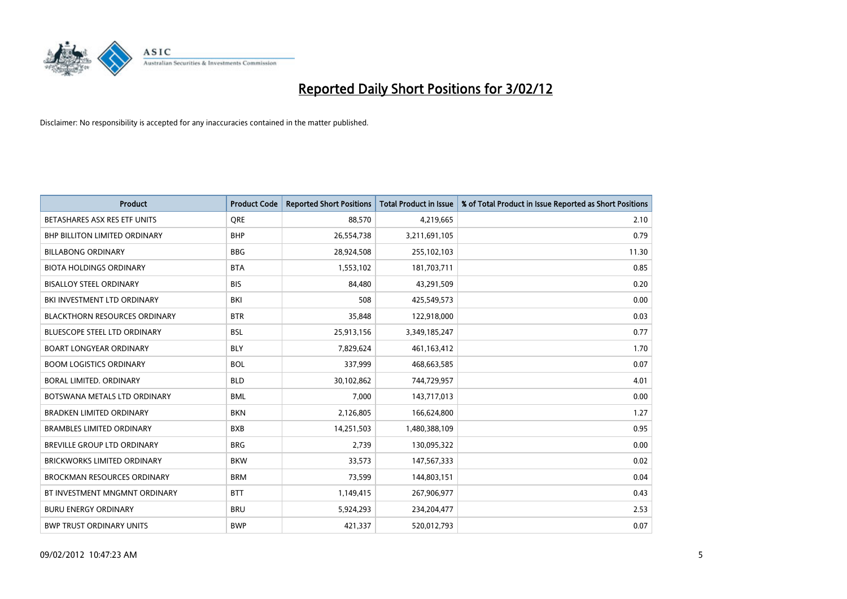

| <b>Product</b>                       | <b>Product Code</b> | <b>Reported Short Positions</b> | <b>Total Product in Issue</b> | % of Total Product in Issue Reported as Short Positions |
|--------------------------------------|---------------------|---------------------------------|-------------------------------|---------------------------------------------------------|
| BETASHARES ASX RES ETF UNITS         | <b>ORE</b>          | 88,570                          | 4,219,665                     | 2.10                                                    |
| <b>BHP BILLITON LIMITED ORDINARY</b> | <b>BHP</b>          | 26,554,738                      | 3,211,691,105                 | 0.79                                                    |
| <b>BILLABONG ORDINARY</b>            | <b>BBG</b>          | 28,924,508                      | 255,102,103                   | 11.30                                                   |
| <b>BIOTA HOLDINGS ORDINARY</b>       | <b>BTA</b>          | 1,553,102                       | 181,703,711                   | 0.85                                                    |
| <b>BISALLOY STEEL ORDINARY</b>       | <b>BIS</b>          | 84,480                          | 43,291,509                    | 0.20                                                    |
| BKI INVESTMENT LTD ORDINARY          | BKI                 | 508                             | 425,549,573                   | 0.00                                                    |
| <b>BLACKTHORN RESOURCES ORDINARY</b> | <b>BTR</b>          | 35,848                          | 122,918,000                   | 0.03                                                    |
| BLUESCOPE STEEL LTD ORDINARY         | <b>BSL</b>          | 25,913,156                      | 3,349,185,247                 | 0.77                                                    |
| <b>BOART LONGYEAR ORDINARY</b>       | <b>BLY</b>          | 7,829,624                       | 461,163,412                   | 1.70                                                    |
| <b>BOOM LOGISTICS ORDINARY</b>       | <b>BOL</b>          | 337,999                         | 468,663,585                   | 0.07                                                    |
| BORAL LIMITED. ORDINARY              | <b>BLD</b>          | 30,102,862                      | 744,729,957                   | 4.01                                                    |
| BOTSWANA METALS LTD ORDINARY         | <b>BML</b>          | 7,000                           | 143,717,013                   | 0.00                                                    |
| <b>BRADKEN LIMITED ORDINARY</b>      | <b>BKN</b>          | 2,126,805                       | 166,624,800                   | 1.27                                                    |
| <b>BRAMBLES LIMITED ORDINARY</b>     | <b>BXB</b>          | 14,251,503                      | 1,480,388,109                 | 0.95                                                    |
| <b>BREVILLE GROUP LTD ORDINARY</b>   | <b>BRG</b>          | 2,739                           | 130,095,322                   | 0.00                                                    |
| BRICKWORKS LIMITED ORDINARY          | <b>BKW</b>          | 33,573                          | 147,567,333                   | 0.02                                                    |
| <b>BROCKMAN RESOURCES ORDINARY</b>   | <b>BRM</b>          | 73,599                          | 144,803,151                   | 0.04                                                    |
| BT INVESTMENT MNGMNT ORDINARY        | <b>BTT</b>          | 1,149,415                       | 267,906,977                   | 0.43                                                    |
| <b>BURU ENERGY ORDINARY</b>          | <b>BRU</b>          | 5,924,293                       | 234,204,477                   | 2.53                                                    |
| <b>BWP TRUST ORDINARY UNITS</b>      | <b>BWP</b>          | 421,337                         | 520,012,793                   | 0.07                                                    |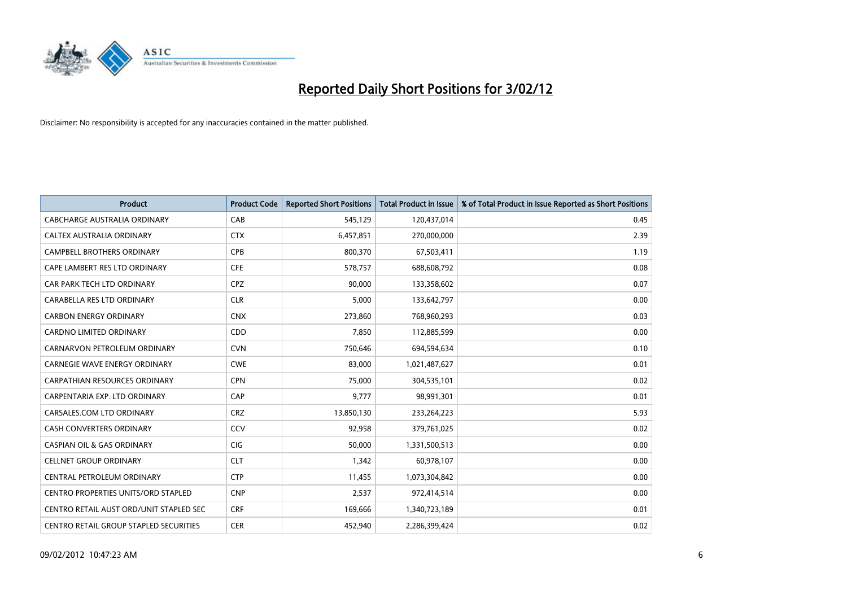

| <b>Product</b>                          | <b>Product Code</b> | <b>Reported Short Positions</b> | <b>Total Product in Issue</b> | % of Total Product in Issue Reported as Short Positions |
|-----------------------------------------|---------------------|---------------------------------|-------------------------------|---------------------------------------------------------|
| <b>CABCHARGE AUSTRALIA ORDINARY</b>     | CAB                 | 545,129                         | 120,437,014                   | 0.45                                                    |
| CALTEX AUSTRALIA ORDINARY               | <b>CTX</b>          | 6,457,851                       | 270,000,000                   | 2.39                                                    |
| <b>CAMPBELL BROTHERS ORDINARY</b>       | <b>CPB</b>          | 800,370                         | 67,503,411                    | 1.19                                                    |
| CAPE LAMBERT RES LTD ORDINARY           | <b>CFE</b>          | 578,757                         | 688,608,792                   | 0.08                                                    |
| CAR PARK TECH LTD ORDINARY              | <b>CPZ</b>          | 90,000                          | 133,358,602                   | 0.07                                                    |
| CARABELLA RES LTD ORDINARY              | <b>CLR</b>          | 5,000                           | 133,642,797                   | 0.00                                                    |
| <b>CARBON ENERGY ORDINARY</b>           | <b>CNX</b>          | 273,860                         | 768,960,293                   | 0.03                                                    |
| CARDNO LIMITED ORDINARY                 | CDD                 | 7,850                           | 112,885,599                   | 0.00                                                    |
| CARNARVON PETROLEUM ORDINARY            | <b>CVN</b>          | 750,646                         | 694,594,634                   | 0.10                                                    |
| <b>CARNEGIE WAVE ENERGY ORDINARY</b>    | <b>CWE</b>          | 83,000                          | 1,021,487,627                 | 0.01                                                    |
| CARPATHIAN RESOURCES ORDINARY           | <b>CPN</b>          | 75,000                          | 304,535,101                   | 0.02                                                    |
| CARPENTARIA EXP. LTD ORDINARY           | CAP                 | 9,777                           | 98,991,301                    | 0.01                                                    |
| CARSALES.COM LTD ORDINARY               | <b>CRZ</b>          | 13,850,130                      | 233,264,223                   | 5.93                                                    |
| <b>CASH CONVERTERS ORDINARY</b>         | CCV                 | 92,958                          | 379,761,025                   | 0.02                                                    |
| <b>CASPIAN OIL &amp; GAS ORDINARY</b>   | CIG                 | 50,000                          | 1,331,500,513                 | 0.00                                                    |
| <b>CELLNET GROUP ORDINARY</b>           | <b>CLT</b>          | 1,342                           | 60,978,107                    | 0.00                                                    |
| CENTRAL PETROLEUM ORDINARY              | <b>CTP</b>          | 11,455                          | 1,073,304,842                 | 0.00                                                    |
| CENTRO PROPERTIES UNITS/ORD STAPLED     | <b>CNP</b>          | 2,537                           | 972,414,514                   | 0.00                                                    |
| CENTRO RETAIL AUST ORD/UNIT STAPLED SEC | <b>CRF</b>          | 169,666                         | 1,340,723,189                 | 0.01                                                    |
| CENTRO RETAIL GROUP STAPLED SECURITIES  | <b>CER</b>          | 452,940                         | 2,286,399,424                 | 0.02                                                    |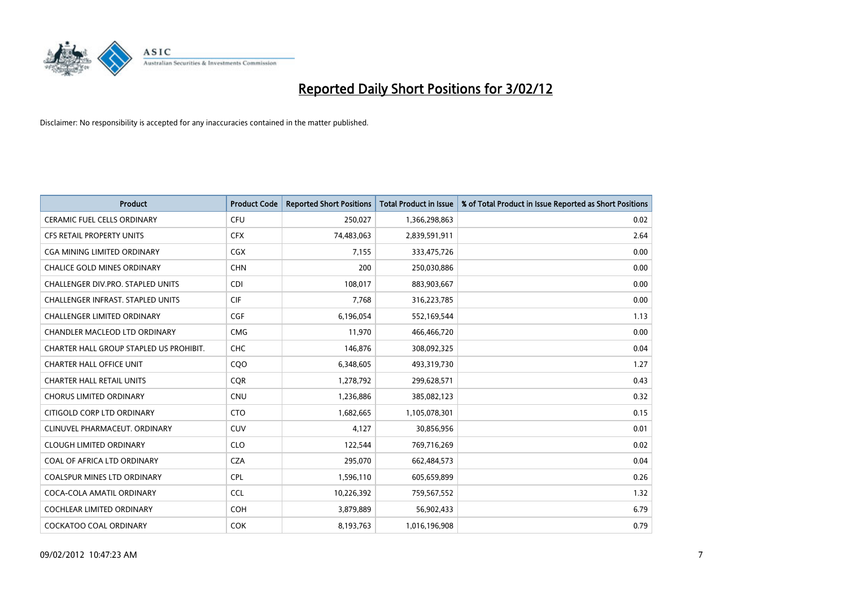

| <b>Product</b>                           | <b>Product Code</b> | <b>Reported Short Positions</b> | <b>Total Product in Issue</b> | % of Total Product in Issue Reported as Short Positions |
|------------------------------------------|---------------------|---------------------------------|-------------------------------|---------------------------------------------------------|
| <b>CERAMIC FUEL CELLS ORDINARY</b>       | <b>CFU</b>          | 250,027                         | 1,366,298,863                 | 0.02                                                    |
| CFS RETAIL PROPERTY UNITS                | <b>CFX</b>          | 74,483,063                      | 2,839,591,911                 | 2.64                                                    |
| <b>CGA MINING LIMITED ORDINARY</b>       | CGX                 | 7,155                           | 333,475,726                   | 0.00                                                    |
| <b>CHALICE GOLD MINES ORDINARY</b>       | <b>CHN</b>          | 200                             | 250,030,886                   | 0.00                                                    |
| CHALLENGER DIV.PRO. STAPLED UNITS        | <b>CDI</b>          | 108,017                         | 883,903,667                   | 0.00                                                    |
| <b>CHALLENGER INFRAST, STAPLED UNITS</b> | <b>CIF</b>          | 7,768                           | 316,223,785                   | 0.00                                                    |
| <b>CHALLENGER LIMITED ORDINARY</b>       | <b>CGF</b>          | 6,196,054                       | 552,169,544                   | 1.13                                                    |
| CHANDLER MACLEOD LTD ORDINARY            | <b>CMG</b>          | 11,970                          | 466,466,720                   | 0.00                                                    |
| CHARTER HALL GROUP STAPLED US PROHIBIT.  | <b>CHC</b>          | 146,876                         | 308,092,325                   | 0.04                                                    |
| <b>CHARTER HALL OFFICE UNIT</b>          | COO                 | 6,348,605                       | 493,319,730                   | 1.27                                                    |
| <b>CHARTER HALL RETAIL UNITS</b>         | <b>CQR</b>          | 1,278,792                       | 299,628,571                   | 0.43                                                    |
| <b>CHORUS LIMITED ORDINARY</b>           | <b>CNU</b>          | 1,236,886                       | 385,082,123                   | 0.32                                                    |
| CITIGOLD CORP LTD ORDINARY               | <b>CTO</b>          | 1,682,665                       | 1,105,078,301                 | 0.15                                                    |
| CLINUVEL PHARMACEUT, ORDINARY            | <b>CUV</b>          | 4,127                           | 30,856,956                    | 0.01                                                    |
| <b>CLOUGH LIMITED ORDINARY</b>           | <b>CLO</b>          | 122,544                         | 769,716,269                   | 0.02                                                    |
| COAL OF AFRICA LTD ORDINARY              | <b>CZA</b>          | 295,070                         | 662,484,573                   | 0.04                                                    |
| <b>COALSPUR MINES LTD ORDINARY</b>       | <b>CPL</b>          | 1,596,110                       | 605,659,899                   | 0.26                                                    |
| COCA-COLA AMATIL ORDINARY                | <b>CCL</b>          | 10,226,392                      | 759,567,552                   | 1.32                                                    |
| <b>COCHLEAR LIMITED ORDINARY</b>         | <b>COH</b>          | 3,879,889                       | 56,902,433                    | 6.79                                                    |
| COCKATOO COAL ORDINARY                   | <b>COK</b>          | 8,193,763                       | 1,016,196,908                 | 0.79                                                    |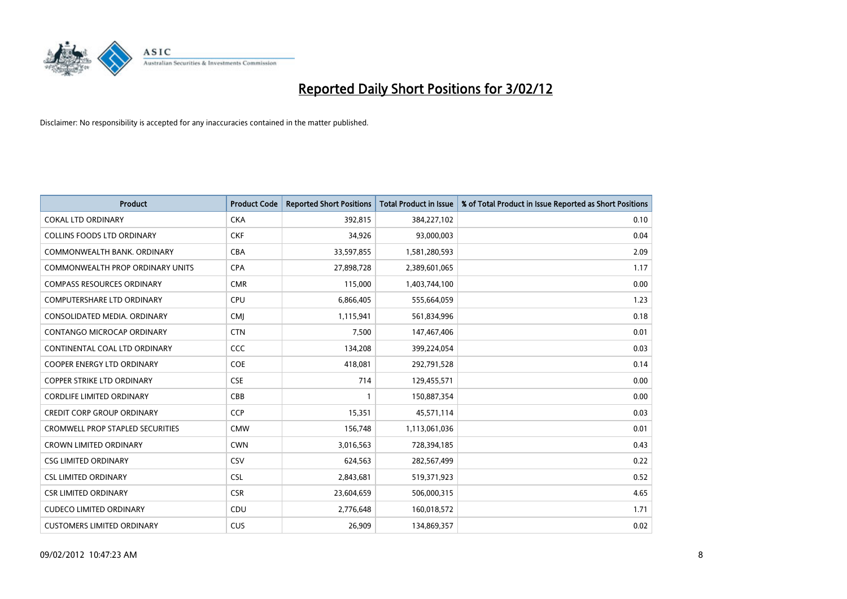

| <b>Product</b>                          | <b>Product Code</b> | <b>Reported Short Positions</b> | <b>Total Product in Issue</b> | % of Total Product in Issue Reported as Short Positions |
|-----------------------------------------|---------------------|---------------------------------|-------------------------------|---------------------------------------------------------|
| <b>COKAL LTD ORDINARY</b>               | <b>CKA</b>          | 392,815                         | 384,227,102                   | 0.10                                                    |
| <b>COLLINS FOODS LTD ORDINARY</b>       | <b>CKF</b>          | 34,926                          | 93,000,003                    | 0.04                                                    |
| COMMONWEALTH BANK, ORDINARY             | <b>CBA</b>          | 33,597,855                      | 1,581,280,593                 | 2.09                                                    |
| COMMONWEALTH PROP ORDINARY UNITS        | <b>CPA</b>          | 27,898,728                      | 2,389,601,065                 | 1.17                                                    |
| <b>COMPASS RESOURCES ORDINARY</b>       | <b>CMR</b>          | 115,000                         | 1,403,744,100                 | 0.00                                                    |
| <b>COMPUTERSHARE LTD ORDINARY</b>       | <b>CPU</b>          | 6,866,405                       | 555,664,059                   | 1.23                                                    |
| CONSOLIDATED MEDIA, ORDINARY            | <b>CMI</b>          | 1,115,941                       | 561,834,996                   | 0.18                                                    |
| <b>CONTANGO MICROCAP ORDINARY</b>       | <b>CTN</b>          | 7.500                           | 147,467,406                   | 0.01                                                    |
| CONTINENTAL COAL LTD ORDINARY           | CCC                 | 134,208                         | 399,224,054                   | 0.03                                                    |
| <b>COOPER ENERGY LTD ORDINARY</b>       | <b>COE</b>          | 418,081                         | 292,791,528                   | 0.14                                                    |
| <b>COPPER STRIKE LTD ORDINARY</b>       | <b>CSE</b>          | 714                             | 129,455,571                   | 0.00                                                    |
| <b>CORDLIFE LIMITED ORDINARY</b>        | CBB                 | 1                               | 150,887,354                   | 0.00                                                    |
| <b>CREDIT CORP GROUP ORDINARY</b>       | <b>CCP</b>          | 15,351                          | 45,571,114                    | 0.03                                                    |
| <b>CROMWELL PROP STAPLED SECURITIES</b> | <b>CMW</b>          | 156,748                         | 1,113,061,036                 | 0.01                                                    |
| <b>CROWN LIMITED ORDINARY</b>           | <b>CWN</b>          | 3,016,563                       | 728,394,185                   | 0.43                                                    |
| <b>CSG LIMITED ORDINARY</b>             | CSV                 | 624,563                         | 282,567,499                   | 0.22                                                    |
| <b>CSL LIMITED ORDINARY</b>             | <b>CSL</b>          | 2,843,681                       | 519,371,923                   | 0.52                                                    |
| <b>CSR LIMITED ORDINARY</b>             | <b>CSR</b>          | 23,604,659                      | 506,000,315                   | 4.65                                                    |
| <b>CUDECO LIMITED ORDINARY</b>          | CDU                 | 2,776,648                       | 160,018,572                   | 1.71                                                    |
| <b>CUSTOMERS LIMITED ORDINARY</b>       | <b>CUS</b>          | 26,909                          | 134,869,357                   | 0.02                                                    |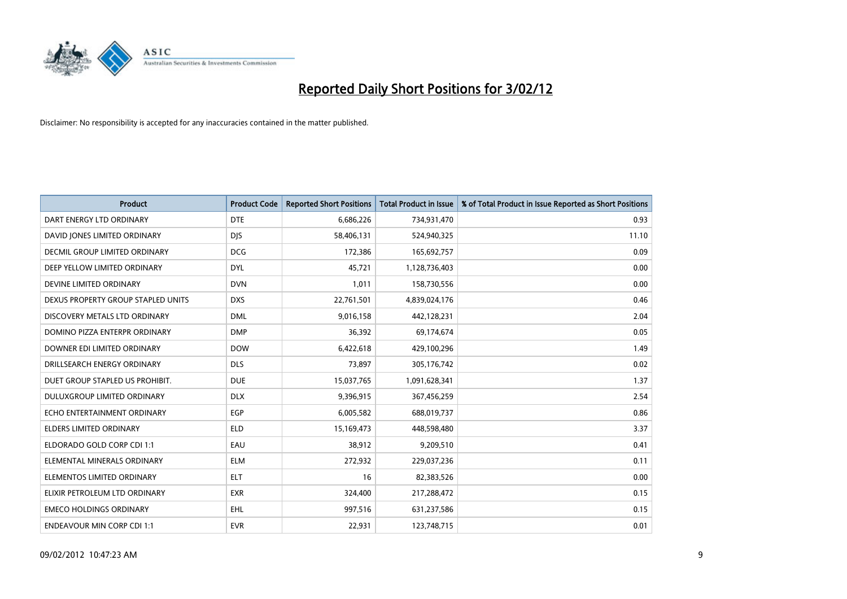

| <b>Product</b>                     | <b>Product Code</b> | <b>Reported Short Positions</b> | <b>Total Product in Issue</b> | % of Total Product in Issue Reported as Short Positions |
|------------------------------------|---------------------|---------------------------------|-------------------------------|---------------------------------------------------------|
| DART ENERGY LTD ORDINARY           | <b>DTE</b>          | 6,686,226                       | 734,931,470                   | 0.93                                                    |
| DAVID JONES LIMITED ORDINARY       | <b>DIS</b>          | 58,406,131                      | 524,940,325                   | 11.10                                                   |
| DECMIL GROUP LIMITED ORDINARY      | <b>DCG</b>          | 172,386                         | 165,692,757                   | 0.09                                                    |
| DEEP YELLOW LIMITED ORDINARY       | <b>DYL</b>          | 45,721                          | 1,128,736,403                 | 0.00                                                    |
| DEVINE LIMITED ORDINARY            | <b>DVN</b>          | 1,011                           | 158,730,556                   | 0.00                                                    |
| DEXUS PROPERTY GROUP STAPLED UNITS | <b>DXS</b>          | 22,761,501                      | 4,839,024,176                 | 0.46                                                    |
| DISCOVERY METALS LTD ORDINARY      | <b>DML</b>          | 9,016,158                       | 442,128,231                   | 2.04                                                    |
| DOMINO PIZZA ENTERPR ORDINARY      | <b>DMP</b>          | 36,392                          | 69,174,674                    | 0.05                                                    |
| DOWNER EDI LIMITED ORDINARY        | <b>DOW</b>          | 6,422,618                       | 429,100,296                   | 1.49                                                    |
| DRILLSEARCH ENERGY ORDINARY        | <b>DLS</b>          | 73,897                          | 305,176,742                   | 0.02                                                    |
| DUET GROUP STAPLED US PROHIBIT.    | <b>DUE</b>          | 15,037,765                      | 1,091,628,341                 | 1.37                                                    |
| <b>DULUXGROUP LIMITED ORDINARY</b> | <b>DLX</b>          | 9,396,915                       | 367,456,259                   | 2.54                                                    |
| ECHO ENTERTAINMENT ORDINARY        | <b>EGP</b>          | 6,005,582                       | 688,019,737                   | 0.86                                                    |
| <b>ELDERS LIMITED ORDINARY</b>     | <b>ELD</b>          | 15,169,473                      | 448,598,480                   | 3.37                                                    |
| ELDORADO GOLD CORP CDI 1:1         | EAU                 | 38,912                          | 9,209,510                     | 0.41                                                    |
| ELEMENTAL MINERALS ORDINARY        | <b>ELM</b>          | 272,932                         | 229,037,236                   | 0.11                                                    |
| ELEMENTOS LIMITED ORDINARY         | <b>ELT</b>          | 16                              | 82,383,526                    | 0.00                                                    |
| ELIXIR PETROLEUM LTD ORDINARY      | <b>EXR</b>          | 324,400                         | 217,288,472                   | 0.15                                                    |
| <b>EMECO HOLDINGS ORDINARY</b>     | EHL                 | 997,516                         | 631,237,586                   | 0.15                                                    |
| <b>ENDEAVOUR MIN CORP CDI 1:1</b>  | <b>EVR</b>          | 22,931                          | 123,748,715                   | 0.01                                                    |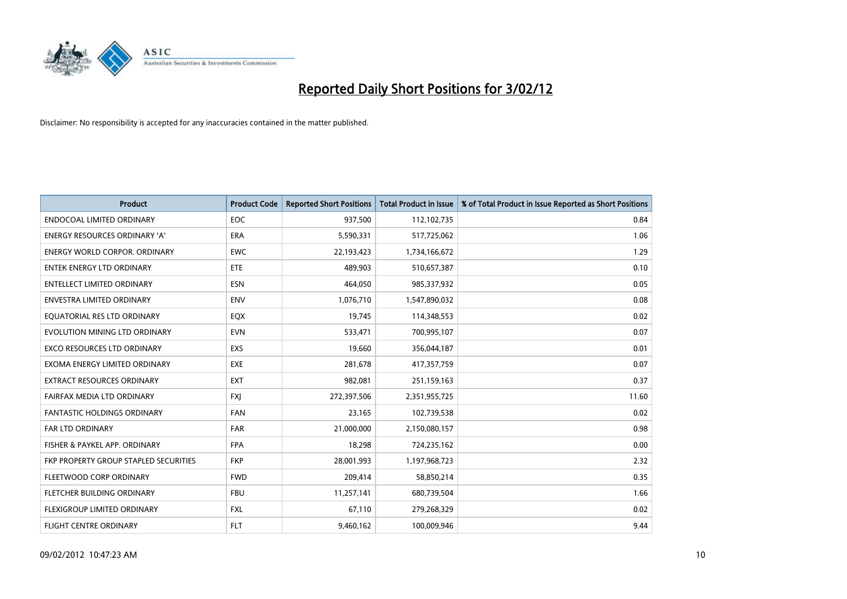

| <b>Product</b>                        | <b>Product Code</b> | <b>Reported Short Positions</b> | <b>Total Product in Issue</b> | % of Total Product in Issue Reported as Short Positions |
|---------------------------------------|---------------------|---------------------------------|-------------------------------|---------------------------------------------------------|
| <b>ENDOCOAL LIMITED ORDINARY</b>      | <b>EOC</b>          | 937,500                         | 112,102,735                   | 0.84                                                    |
| ENERGY RESOURCES ORDINARY 'A'         | <b>ERA</b>          | 5,590,331                       | 517,725,062                   | 1.06                                                    |
| <b>ENERGY WORLD CORPOR, ORDINARY</b>  | <b>EWC</b>          | 22,193,423                      | 1,734,166,672                 | 1.29                                                    |
| <b>ENTEK ENERGY LTD ORDINARY</b>      | <b>ETE</b>          | 489.903                         | 510,657,387                   | 0.10                                                    |
| <b>ENTELLECT LIMITED ORDINARY</b>     | <b>ESN</b>          | 464,050                         | 985,337,932                   | 0.05                                                    |
| <b>ENVESTRA LIMITED ORDINARY</b>      | <b>ENV</b>          | 1,076,710                       | 1,547,890,032                 | 0.08                                                    |
| EQUATORIAL RES LTD ORDINARY           | EQX                 | 19,745                          | 114,348,553                   | 0.02                                                    |
| EVOLUTION MINING LTD ORDINARY         | <b>EVN</b>          | 533,471                         | 700,995,107                   | 0.07                                                    |
| <b>EXCO RESOURCES LTD ORDINARY</b>    | EXS                 | 19,660                          | 356,044,187                   | 0.01                                                    |
| EXOMA ENERGY LIMITED ORDINARY         | <b>EXE</b>          | 281,678                         | 417,357,759                   | 0.07                                                    |
| EXTRACT RESOURCES ORDINARY            | <b>EXT</b>          | 982,081                         | 251,159,163                   | 0.37                                                    |
| FAIRFAX MEDIA LTD ORDINARY            | <b>FXJ</b>          | 272,397,506                     | 2,351,955,725                 | 11.60                                                   |
| <b>FANTASTIC HOLDINGS ORDINARY</b>    | <b>FAN</b>          | 23,165                          | 102,739,538                   | 0.02                                                    |
| <b>FAR LTD ORDINARY</b>               | <b>FAR</b>          | 21,000,000                      | 2,150,080,157                 | 0.98                                                    |
| FISHER & PAYKEL APP. ORDINARY         | <b>FPA</b>          | 18,298                          | 724,235,162                   | 0.00                                                    |
| FKP PROPERTY GROUP STAPLED SECURITIES | <b>FKP</b>          | 28,001,993                      | 1,197,968,723                 | 2.32                                                    |
| FLEETWOOD CORP ORDINARY               | <b>FWD</b>          | 209,414                         | 58,850,214                    | 0.35                                                    |
| FLETCHER BUILDING ORDINARY            | <b>FBU</b>          | 11,257,141                      | 680,739,504                   | 1.66                                                    |
| FLEXIGROUP LIMITED ORDINARY           | <b>FXL</b>          | 67,110                          | 279,268,329                   | 0.02                                                    |
| <b>FLIGHT CENTRE ORDINARY</b>         | FLT                 | 9,460,162                       | 100,009,946                   | 9.44                                                    |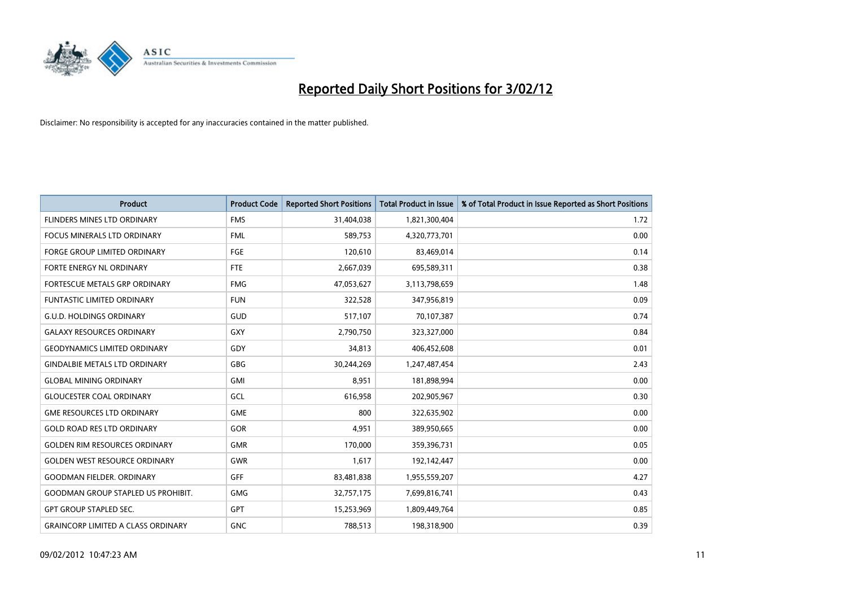

| <b>Product</b>                            | <b>Product Code</b> | <b>Reported Short Positions</b> | <b>Total Product in Issue</b> | % of Total Product in Issue Reported as Short Positions |
|-------------------------------------------|---------------------|---------------------------------|-------------------------------|---------------------------------------------------------|
| FLINDERS MINES LTD ORDINARY               | <b>FMS</b>          | 31,404,038                      | 1,821,300,404                 | 1.72                                                    |
| FOCUS MINERALS LTD ORDINARY               | <b>FML</b>          | 589,753                         | 4,320,773,701                 | 0.00                                                    |
| <b>FORGE GROUP LIMITED ORDINARY</b>       | FGE                 | 120,610                         | 83,469,014                    | 0.14                                                    |
| FORTE ENERGY NL ORDINARY                  | FTE                 | 2,667,039                       | 695,589,311                   | 0.38                                                    |
| FORTESCUE METALS GRP ORDINARY             | <b>FMG</b>          | 47,053,627                      | 3,113,798,659                 | 1.48                                                    |
| <b>FUNTASTIC LIMITED ORDINARY</b>         | <b>FUN</b>          | 322,528                         | 347,956,819                   | 0.09                                                    |
| <b>G.U.D. HOLDINGS ORDINARY</b>           | GUD                 | 517,107                         | 70,107,387                    | 0.74                                                    |
| <b>GALAXY RESOURCES ORDINARY</b>          | GXY                 | 2,790,750                       | 323,327,000                   | 0.84                                                    |
| <b>GEODYNAMICS LIMITED ORDINARY</b>       | GDY                 | 34,813                          | 406,452,608                   | 0.01                                                    |
| <b>GINDALBIE METALS LTD ORDINARY</b>      | GBG                 | 30,244,269                      | 1,247,487,454                 | 2.43                                                    |
| <b>GLOBAL MINING ORDINARY</b>             | <b>GMI</b>          | 8,951                           | 181,898,994                   | 0.00                                                    |
| <b>GLOUCESTER COAL ORDINARY</b>           | GCL                 | 616,958                         | 202,905,967                   | 0.30                                                    |
| <b>GME RESOURCES LTD ORDINARY</b>         | <b>GME</b>          | 800                             | 322,635,902                   | 0.00                                                    |
| <b>GOLD ROAD RES LTD ORDINARY</b>         | GOR                 | 4,951                           | 389,950,665                   | 0.00                                                    |
| <b>GOLDEN RIM RESOURCES ORDINARY</b>      | <b>GMR</b>          | 170,000                         | 359,396,731                   | 0.05                                                    |
| <b>GOLDEN WEST RESOURCE ORDINARY</b>      | <b>GWR</b>          | 1,617                           | 192,142,447                   | 0.00                                                    |
| <b>GOODMAN FIELDER, ORDINARY</b>          | GFF                 | 83,481,838                      | 1,955,559,207                 | 4.27                                                    |
| <b>GOODMAN GROUP STAPLED US PROHIBIT.</b> | <b>GMG</b>          | 32,757,175                      | 7,699,816,741                 | 0.43                                                    |
| <b>GPT GROUP STAPLED SEC.</b>             | GPT                 | 15,253,969                      | 1,809,449,764                 | 0.85                                                    |
| <b>GRAINCORP LIMITED A CLASS ORDINARY</b> | <b>GNC</b>          | 788,513                         | 198,318,900                   | 0.39                                                    |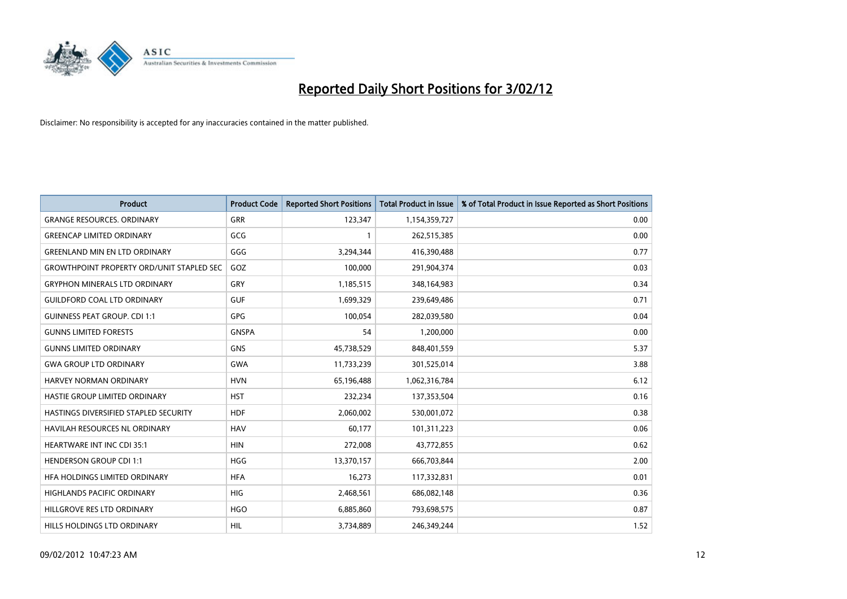

| <b>Product</b>                                   | <b>Product Code</b> | <b>Reported Short Positions</b> | <b>Total Product in Issue</b> | % of Total Product in Issue Reported as Short Positions |
|--------------------------------------------------|---------------------|---------------------------------|-------------------------------|---------------------------------------------------------|
| <b>GRANGE RESOURCES, ORDINARY</b>                | <b>GRR</b>          | 123,347                         | 1,154,359,727                 | 0.00                                                    |
| <b>GREENCAP LIMITED ORDINARY</b>                 | GCG                 | 1                               | 262,515,385                   | 0.00                                                    |
| <b>GREENLAND MIN EN LTD ORDINARY</b>             | GGG                 | 3,294,344                       | 416,390,488                   | 0.77                                                    |
| <b>GROWTHPOINT PROPERTY ORD/UNIT STAPLED SEC</b> | GOZ                 | 100,000                         | 291,904,374                   | 0.03                                                    |
| <b>GRYPHON MINERALS LTD ORDINARY</b>             | GRY                 | 1,185,515                       | 348,164,983                   | 0.34                                                    |
| <b>GUILDFORD COAL LTD ORDINARY</b>               | <b>GUF</b>          | 1,699,329                       | 239,649,486                   | 0.71                                                    |
| <b>GUINNESS PEAT GROUP. CDI 1:1</b>              | <b>GPG</b>          | 100,054                         | 282,039,580                   | 0.04                                                    |
| <b>GUNNS LIMITED FORESTS</b>                     | <b>GNSPA</b>        | 54                              | 1,200,000                     | 0.00                                                    |
| <b>GUNNS LIMITED ORDINARY</b>                    | <b>GNS</b>          | 45,738,529                      | 848,401,559                   | 5.37                                                    |
| <b>GWA GROUP LTD ORDINARY</b>                    | <b>GWA</b>          | 11,733,239                      | 301,525,014                   | 3.88                                                    |
| <b>HARVEY NORMAN ORDINARY</b>                    | <b>HVN</b>          | 65,196,488                      | 1,062,316,784                 | 6.12                                                    |
| HASTIE GROUP LIMITED ORDINARY                    | <b>HST</b>          | 232,234                         | 137,353,504                   | 0.16                                                    |
| HASTINGS DIVERSIFIED STAPLED SECURITY            | <b>HDF</b>          | 2,060,002                       | 530,001,072                   | 0.38                                                    |
| <b>HAVILAH RESOURCES NL ORDINARY</b>             | <b>HAV</b>          | 60,177                          | 101,311,223                   | 0.06                                                    |
| <b>HEARTWARE INT INC CDI 35:1</b>                | <b>HIN</b>          | 272,008                         | 43,772,855                    | 0.62                                                    |
| HENDERSON GROUP CDI 1:1                          | <b>HGG</b>          | 13,370,157                      | 666,703,844                   | 2.00                                                    |
| HFA HOLDINGS LIMITED ORDINARY                    | <b>HFA</b>          | 16,273                          | 117,332,831                   | 0.01                                                    |
| <b>HIGHLANDS PACIFIC ORDINARY</b>                | <b>HIG</b>          | 2,468,561                       | 686,082,148                   | 0.36                                                    |
| HILLGROVE RES LTD ORDINARY                       | <b>HGO</b>          | 6,885,860                       | 793,698,575                   | 0.87                                                    |
| HILLS HOLDINGS LTD ORDINARY                      | HIL                 | 3,734,889                       | 246,349,244                   | 1.52                                                    |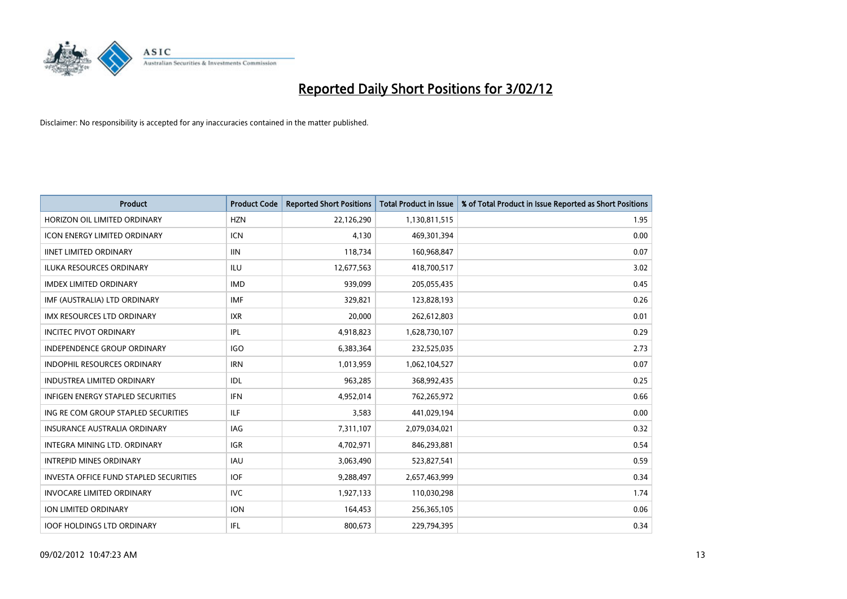

| <b>Product</b>                                | <b>Product Code</b> | <b>Reported Short Positions</b> | <b>Total Product in Issue</b> | % of Total Product in Issue Reported as Short Positions |
|-----------------------------------------------|---------------------|---------------------------------|-------------------------------|---------------------------------------------------------|
| HORIZON OIL LIMITED ORDINARY                  | <b>HZN</b>          | 22,126,290                      | 1,130,811,515                 | 1.95                                                    |
| <b>ICON ENERGY LIMITED ORDINARY</b>           | <b>ICN</b>          | 4,130                           | 469,301,394                   | 0.00                                                    |
| <b>IINET LIMITED ORDINARY</b>                 | <b>IIN</b>          | 118,734                         | 160,968,847                   | 0.07                                                    |
| <b>ILUKA RESOURCES ORDINARY</b>               | ILU                 | 12,677,563                      | 418,700,517                   | 3.02                                                    |
| <b>IMDEX LIMITED ORDINARY</b>                 | <b>IMD</b>          | 939,099                         | 205,055,435                   | 0.45                                                    |
| IMF (AUSTRALIA) LTD ORDINARY                  | <b>IMF</b>          | 329,821                         | 123,828,193                   | 0.26                                                    |
| <b>IMX RESOURCES LTD ORDINARY</b>             | <b>IXR</b>          | 20,000                          | 262,612,803                   | 0.01                                                    |
| <b>INCITEC PIVOT ORDINARY</b>                 | IPL                 | 4,918,823                       | 1,628,730,107                 | 0.29                                                    |
| INDEPENDENCE GROUP ORDINARY                   | <b>IGO</b>          | 6,383,364                       | 232,525,035                   | 2.73                                                    |
| <b>INDOPHIL RESOURCES ORDINARY</b>            | <b>IRN</b>          | 1,013,959                       | 1,062,104,527                 | 0.07                                                    |
| <b>INDUSTREA LIMITED ORDINARY</b>             | <b>IDL</b>          | 963,285                         | 368,992,435                   | 0.25                                                    |
| <b>INFIGEN ENERGY STAPLED SECURITIES</b>      | <b>IFN</b>          | 4,952,014                       | 762,265,972                   | 0.66                                                    |
| ING RE COM GROUP STAPLED SECURITIES           | ILF.                | 3,583                           | 441,029,194                   | 0.00                                                    |
| <b>INSURANCE AUSTRALIA ORDINARY</b>           | IAG                 | 7,311,107                       | 2,079,034,021                 | 0.32                                                    |
| INTEGRA MINING LTD, ORDINARY                  | <b>IGR</b>          | 4,702,971                       | 846,293,881                   | 0.54                                                    |
| <b>INTREPID MINES ORDINARY</b>                | <b>IAU</b>          | 3,063,490                       | 523,827,541                   | 0.59                                                    |
| <b>INVESTA OFFICE FUND STAPLED SECURITIES</b> | <b>IOF</b>          | 9,288,497                       | 2,657,463,999                 | 0.34                                                    |
| <b>INVOCARE LIMITED ORDINARY</b>              | IVC.                | 1,927,133                       | 110,030,298                   | 1.74                                                    |
| <b>ION LIMITED ORDINARY</b>                   | <b>ION</b>          | 164,453                         | 256,365,105                   | 0.06                                                    |
| <b>IOOF HOLDINGS LTD ORDINARY</b>             | IFL                 | 800,673                         | 229,794,395                   | 0.34                                                    |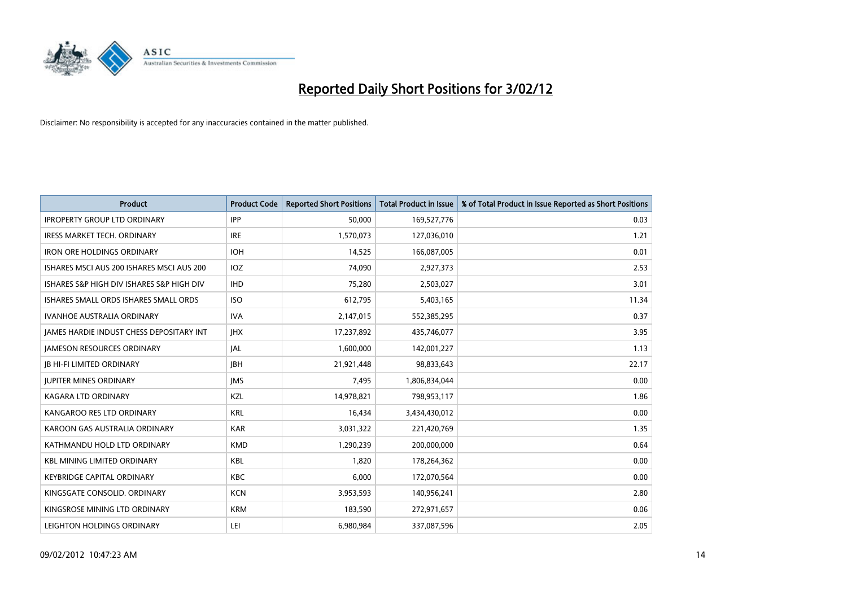

| <b>Product</b>                                  | <b>Product Code</b> | <b>Reported Short Positions</b> | <b>Total Product in Issue</b> | % of Total Product in Issue Reported as Short Positions |
|-------------------------------------------------|---------------------|---------------------------------|-------------------------------|---------------------------------------------------------|
| <b>IPROPERTY GROUP LTD ORDINARY</b>             | <b>IPP</b>          | 50,000                          | 169,527,776                   | 0.03                                                    |
| <b>IRESS MARKET TECH. ORDINARY</b>              | <b>IRE</b>          | 1,570,073                       | 127,036,010                   | 1.21                                                    |
| <b>IRON ORE HOLDINGS ORDINARY</b>               | <b>IOH</b>          | 14,525                          | 166,087,005                   | 0.01                                                    |
| ISHARES MSCI AUS 200 ISHARES MSCI AUS 200       | IOZ.                | 74,090                          | 2,927,373                     | 2.53                                                    |
| ISHARES S&P HIGH DIV ISHARES S&P HIGH DIV       | <b>IHD</b>          | 75,280                          | 2,503,027                     | 3.01                                                    |
| ISHARES SMALL ORDS ISHARES SMALL ORDS           | <b>ISO</b>          | 612,795                         | 5,403,165                     | 11.34                                                   |
| <b>IVANHOE AUSTRALIA ORDINARY</b>               | <b>IVA</b>          | 2,147,015                       | 552,385,295                   | 0.37                                                    |
| <b>JAMES HARDIE INDUST CHESS DEPOSITARY INT</b> | <b>IHX</b>          | 17,237,892                      | 435,746,077                   | 3.95                                                    |
| <b>JAMESON RESOURCES ORDINARY</b>               | <b>JAL</b>          | 1,600,000                       | 142,001,227                   | 1.13                                                    |
| <b>JB HI-FI LIMITED ORDINARY</b>                | <b>JBH</b>          | 21,921,448                      | 98,833,643                    | 22.17                                                   |
| <b>JUPITER MINES ORDINARY</b>                   | <b>IMS</b>          | 7,495                           | 1,806,834,044                 | 0.00                                                    |
| <b>KAGARA LTD ORDINARY</b>                      | KZL                 | 14,978,821                      | 798,953,117                   | 1.86                                                    |
| KANGAROO RES LTD ORDINARY                       | <b>KRL</b>          | 16,434                          | 3,434,430,012                 | 0.00                                                    |
| KAROON GAS AUSTRALIA ORDINARY                   | <b>KAR</b>          | 3,031,322                       | 221,420,769                   | 1.35                                                    |
| KATHMANDU HOLD LTD ORDINARY                     | <b>KMD</b>          | 1,290,239                       | 200,000,000                   | 0.64                                                    |
| <b>KBL MINING LIMITED ORDINARY</b>              | KBL                 | 1,820                           | 178,264,362                   | 0.00                                                    |
| KEYBRIDGE CAPITAL ORDINARY                      | KBC                 | 6,000                           | 172,070,564                   | 0.00                                                    |
| KINGSGATE CONSOLID, ORDINARY                    | <b>KCN</b>          | 3,953,593                       | 140,956,241                   | 2.80                                                    |
| KINGSROSE MINING LTD ORDINARY                   | <b>KRM</b>          | 183,590                         | 272,971,657                   | 0.06                                                    |
| LEIGHTON HOLDINGS ORDINARY                      | LEI                 | 6,980,984                       | 337,087,596                   | 2.05                                                    |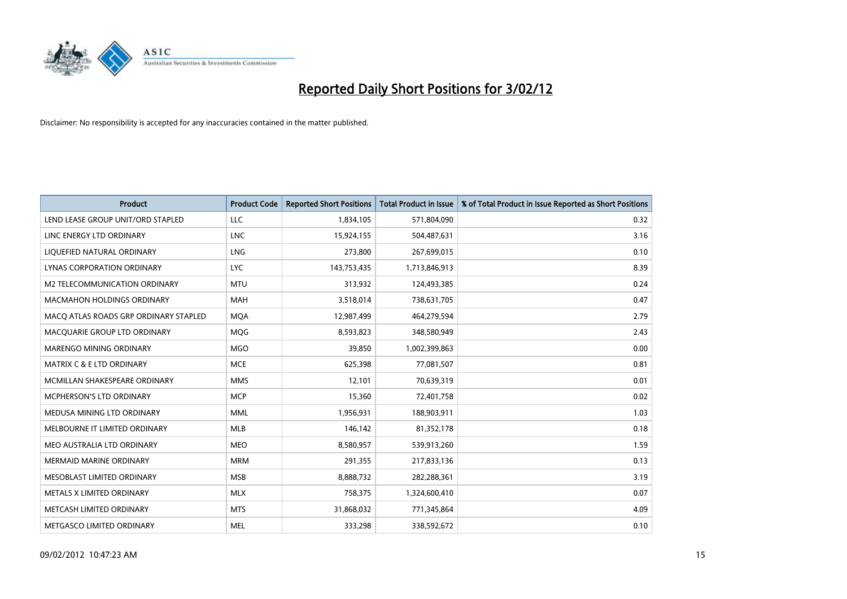

| <b>Product</b>                        | <b>Product Code</b> | <b>Reported Short Positions</b> | <b>Total Product in Issue</b> | % of Total Product in Issue Reported as Short Positions |
|---------------------------------------|---------------------|---------------------------------|-------------------------------|---------------------------------------------------------|
| LEND LEASE GROUP UNIT/ORD STAPLED     | <b>LLC</b>          | 1,834,105                       | 571,804,090                   | 0.32                                                    |
| LINC ENERGY LTD ORDINARY              | <b>LNC</b>          | 15,924,155                      | 504,487,631                   | 3.16                                                    |
| LIQUEFIED NATURAL ORDINARY            | <b>LNG</b>          | 273,800                         | 267,699,015                   | 0.10                                                    |
| LYNAS CORPORATION ORDINARY            | <b>LYC</b>          | 143,753,435                     | 1,713,846,913                 | 8.39                                                    |
| M2 TELECOMMUNICATION ORDINARY         | <b>MTU</b>          | 313,932                         | 124,493,385                   | 0.24                                                    |
| <b>MACMAHON HOLDINGS ORDINARY</b>     | MAH                 | 3,518,014                       | 738,631,705                   | 0.47                                                    |
| MACO ATLAS ROADS GRP ORDINARY STAPLED | <b>MOA</b>          | 12,987,499                      | 464,279,594                   | 2.79                                                    |
| MACQUARIE GROUP LTD ORDINARY          | MQG                 | 8,593,823                       | 348,580,949                   | 2.43                                                    |
| MARENGO MINING ORDINARY               | <b>MGO</b>          | 39,850                          | 1,002,399,863                 | 0.00                                                    |
| <b>MATRIX C &amp; E LTD ORDINARY</b>  | <b>MCE</b>          | 625,398                         | 77,081,507                    | 0.81                                                    |
| MCMILLAN SHAKESPEARE ORDINARY         | <b>MMS</b>          | 12,101                          | 70,639,319                    | 0.01                                                    |
| MCPHERSON'S LTD ORDINARY              | <b>MCP</b>          | 15,360                          | 72,401,758                    | 0.02                                                    |
| MEDUSA MINING LTD ORDINARY            | <b>MML</b>          | 1,956,931                       | 188,903,911                   | 1.03                                                    |
| MELBOURNE IT LIMITED ORDINARY         | <b>MLB</b>          | 146,142                         | 81,352,178                    | 0.18                                                    |
| MEO AUSTRALIA LTD ORDINARY            | <b>MEO</b>          | 8,580,957                       | 539,913,260                   | 1.59                                                    |
| MERMAID MARINE ORDINARY               | <b>MRM</b>          | 291,355                         | 217,833,136                   | 0.13                                                    |
| MESOBLAST LIMITED ORDINARY            | <b>MSB</b>          | 8,888,732                       | 282,288,361                   | 3.19                                                    |
| METALS X LIMITED ORDINARY             | <b>MLX</b>          | 758,375                         | 1,324,600,410                 | 0.07                                                    |
| METCASH LIMITED ORDINARY              | <b>MTS</b>          | 31,868,032                      | 771,345,864                   | 4.09                                                    |
| METGASCO LIMITED ORDINARY             | <b>MEL</b>          | 333,298                         | 338,592,672                   | 0.10                                                    |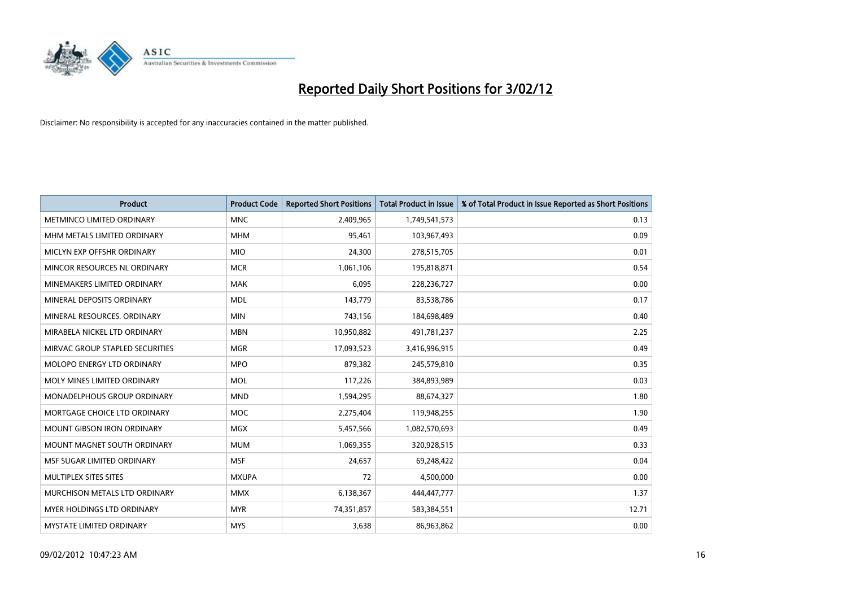

| <b>Product</b>                    | <b>Product Code</b> | <b>Reported Short Positions</b> | <b>Total Product in Issue</b> | % of Total Product in Issue Reported as Short Positions |
|-----------------------------------|---------------------|---------------------------------|-------------------------------|---------------------------------------------------------|
| METMINCO LIMITED ORDINARY         | <b>MNC</b>          | 2,409,965                       | 1,749,541,573                 | 0.13                                                    |
| MHM METALS LIMITED ORDINARY       | <b>MHM</b>          | 95,461                          | 103,967,493                   | 0.09                                                    |
| MICLYN EXP OFFSHR ORDINARY        | <b>MIO</b>          | 24,300                          | 278,515,705                   | 0.01                                                    |
| MINCOR RESOURCES NL ORDINARY      | <b>MCR</b>          | 1,061,106                       | 195,818,871                   | 0.54                                                    |
| MINEMAKERS LIMITED ORDINARY       | <b>MAK</b>          | 6,095                           | 228,236,727                   | 0.00                                                    |
| MINERAL DEPOSITS ORDINARY         | <b>MDL</b>          | 143,779                         | 83,538,786                    | 0.17                                                    |
| MINERAL RESOURCES, ORDINARY       | <b>MIN</b>          | 743,156                         | 184,698,489                   | 0.40                                                    |
| MIRABELA NICKEL LTD ORDINARY      | <b>MBN</b>          | 10,950,882                      | 491,781,237                   | 2.25                                                    |
| MIRVAC GROUP STAPLED SECURITIES   | <b>MGR</b>          | 17,093,523                      | 3,416,996,915                 | 0.49                                                    |
| MOLOPO ENERGY LTD ORDINARY        | <b>MPO</b>          | 879,382                         | 245,579,810                   | 0.35                                                    |
| MOLY MINES LIMITED ORDINARY       | <b>MOL</b>          | 117,226                         | 384,893,989                   | 0.03                                                    |
| MONADELPHOUS GROUP ORDINARY       | <b>MND</b>          | 1,594,295                       | 88,674,327                    | 1.80                                                    |
| MORTGAGE CHOICE LTD ORDINARY      | MOC                 | 2,275,404                       | 119,948,255                   | 1.90                                                    |
| <b>MOUNT GIBSON IRON ORDINARY</b> | <b>MGX</b>          | 5,457,566                       | 1,082,570,693                 | 0.49                                                    |
| MOUNT MAGNET SOUTH ORDINARY       | <b>MUM</b>          | 1,069,355                       | 320,928,515                   | 0.33                                                    |
| MSF SUGAR LIMITED ORDINARY        | <b>MSF</b>          | 24,657                          | 69,248,422                    | 0.04                                                    |
| MULTIPLEX SITES SITES             | <b>MXUPA</b>        | 72                              | 4,500,000                     | 0.00                                                    |
| MURCHISON METALS LTD ORDINARY     | <b>MMX</b>          | 6,138,367                       | 444,447,777                   | 1.37                                                    |
| MYER HOLDINGS LTD ORDINARY        | <b>MYR</b>          | 74,351,857                      | 583,384,551                   | 12.71                                                   |
| MYSTATE LIMITED ORDINARY          | <b>MYS</b>          | 3,638                           | 86,963,862                    | 0.00                                                    |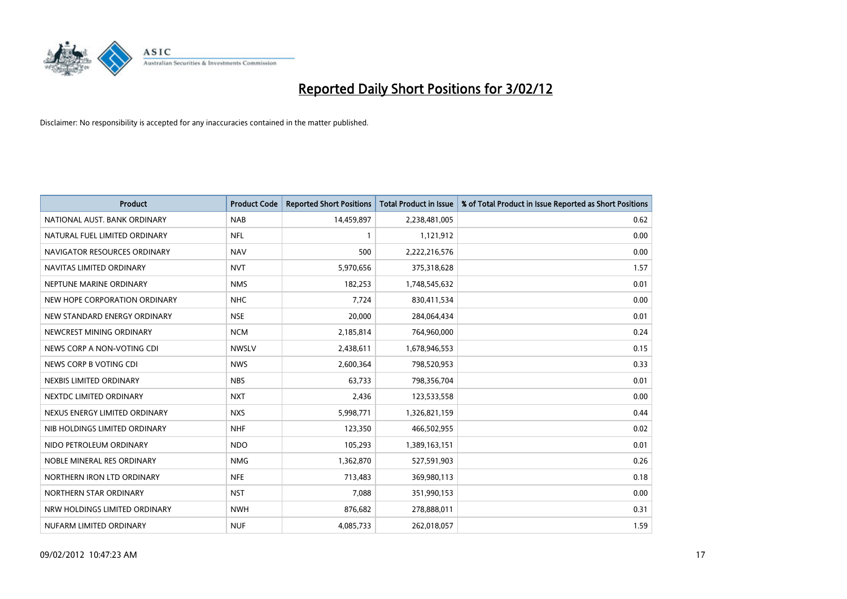

| <b>Product</b>                | <b>Product Code</b> | <b>Reported Short Positions</b> | <b>Total Product in Issue</b> | % of Total Product in Issue Reported as Short Positions |
|-------------------------------|---------------------|---------------------------------|-------------------------------|---------------------------------------------------------|
| NATIONAL AUST, BANK ORDINARY  | <b>NAB</b>          | 14,459,897                      | 2,238,481,005                 | 0.62                                                    |
| NATURAL FUEL LIMITED ORDINARY | <b>NFL</b>          | $\mathbf{1}$                    | 1,121,912                     | 0.00                                                    |
| NAVIGATOR RESOURCES ORDINARY  | <b>NAV</b>          | 500                             | 2,222,216,576                 | 0.00                                                    |
| NAVITAS LIMITED ORDINARY      | <b>NVT</b>          | 5,970,656                       | 375,318,628                   | 1.57                                                    |
| NEPTUNE MARINE ORDINARY       | <b>NMS</b>          | 182,253                         | 1,748,545,632                 | 0.01                                                    |
| NEW HOPE CORPORATION ORDINARY | <b>NHC</b>          | 7,724                           | 830,411,534                   | 0.00                                                    |
| NEW STANDARD ENERGY ORDINARY  | <b>NSE</b>          | 20,000                          | 284,064,434                   | 0.01                                                    |
| NEWCREST MINING ORDINARY      | <b>NCM</b>          | 2,185,814                       | 764,960,000                   | 0.24                                                    |
| NEWS CORP A NON-VOTING CDI    | <b>NWSLV</b>        | 2,438,611                       | 1,678,946,553                 | 0.15                                                    |
| NEWS CORP B VOTING CDI        | <b>NWS</b>          | 2,600,364                       | 798,520,953                   | 0.33                                                    |
| NEXBIS LIMITED ORDINARY       | <b>NBS</b>          | 63,733                          | 798,356,704                   | 0.01                                                    |
| NEXTDC LIMITED ORDINARY       | <b>NXT</b>          | 2,436                           | 123,533,558                   | 0.00                                                    |
| NEXUS ENERGY LIMITED ORDINARY | <b>NXS</b>          | 5,998,771                       | 1,326,821,159                 | 0.44                                                    |
| NIB HOLDINGS LIMITED ORDINARY | <b>NHF</b>          | 123,350                         | 466,502,955                   | 0.02                                                    |
| NIDO PETROLEUM ORDINARY       | <b>NDO</b>          | 105,293                         | 1,389,163,151                 | 0.01                                                    |
| NOBLE MINERAL RES ORDINARY    | <b>NMG</b>          | 1,362,870                       | 527,591,903                   | 0.26                                                    |
| NORTHERN IRON LTD ORDINARY    | <b>NFE</b>          | 713,483                         | 369,980,113                   | 0.18                                                    |
| NORTHERN STAR ORDINARY        | <b>NST</b>          | 7,088                           | 351,990,153                   | 0.00                                                    |
| NRW HOLDINGS LIMITED ORDINARY | <b>NWH</b>          | 876,682                         | 278,888,011                   | 0.31                                                    |
| NUFARM LIMITED ORDINARY       | <b>NUF</b>          | 4,085,733                       | 262,018,057                   | 1.59                                                    |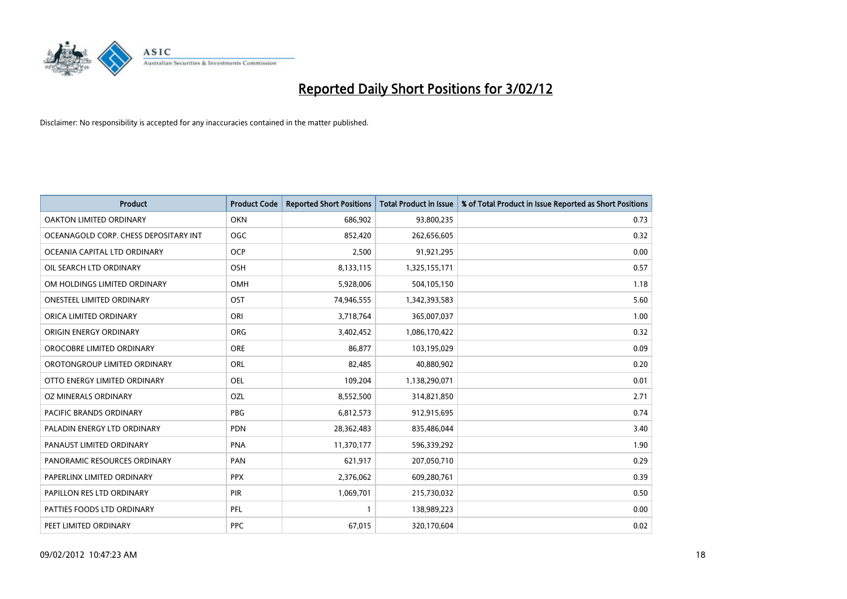

| <b>Product</b>                        | <b>Product Code</b> | <b>Reported Short Positions</b> | <b>Total Product in Issue</b> | % of Total Product in Issue Reported as Short Positions |
|---------------------------------------|---------------------|---------------------------------|-------------------------------|---------------------------------------------------------|
| OAKTON LIMITED ORDINARY               | <b>OKN</b>          | 686,902                         | 93,800,235                    | 0.73                                                    |
| OCEANAGOLD CORP. CHESS DEPOSITARY INT | <b>OGC</b>          | 852,420                         | 262,656,605                   | 0.32                                                    |
| OCEANIA CAPITAL LTD ORDINARY          | <b>OCP</b>          | 2,500                           | 91,921,295                    | 0.00                                                    |
| OIL SEARCH LTD ORDINARY               | OSH                 | 8,133,115                       | 1,325,155,171                 | 0.57                                                    |
| OM HOLDINGS LIMITED ORDINARY          | OMH                 | 5,928,006                       | 504,105,150                   | 1.18                                                    |
| <b>ONESTEEL LIMITED ORDINARY</b>      | OST                 | 74,946,555                      | 1,342,393,583                 | 5.60                                                    |
| ORICA LIMITED ORDINARY                | ORI                 | 3,718,764                       | 365,007,037                   | 1.00                                                    |
| ORIGIN ENERGY ORDINARY                | ORG                 | 3,402,452                       | 1,086,170,422                 | 0.32                                                    |
| OROCOBRE LIMITED ORDINARY             | <b>ORE</b>          | 86,877                          | 103,195,029                   | 0.09                                                    |
| OROTONGROUP LIMITED ORDINARY          | ORL                 | 82,485                          | 40,880,902                    | 0.20                                                    |
| OTTO ENERGY LIMITED ORDINARY          | <b>OEL</b>          | 109,204                         | 1,138,290,071                 | 0.01                                                    |
| OZ MINERALS ORDINARY                  | OZL                 | 8,552,500                       | 314,821,850                   | 2.71                                                    |
| PACIFIC BRANDS ORDINARY               | <b>PBG</b>          | 6,812,573                       | 912,915,695                   | 0.74                                                    |
| PALADIN ENERGY LTD ORDINARY           | <b>PDN</b>          | 28,362,483                      | 835,486,044                   | 3.40                                                    |
| PANAUST LIMITED ORDINARY              | <b>PNA</b>          | 11,370,177                      | 596,339,292                   | 1.90                                                    |
| PANORAMIC RESOURCES ORDINARY          | PAN                 | 621,917                         | 207,050,710                   | 0.29                                                    |
| PAPERLINX LIMITED ORDINARY            | <b>PPX</b>          | 2,376,062                       | 609,280,761                   | 0.39                                                    |
| PAPILLON RES LTD ORDINARY             | PIR                 | 1,069,701                       | 215,730,032                   | 0.50                                                    |
| PATTIES FOODS LTD ORDINARY            | PFL                 | $\mathbf{1}$                    | 138,989,223                   | 0.00                                                    |
| PEET LIMITED ORDINARY                 | <b>PPC</b>          | 67,015                          | 320,170,604                   | 0.02                                                    |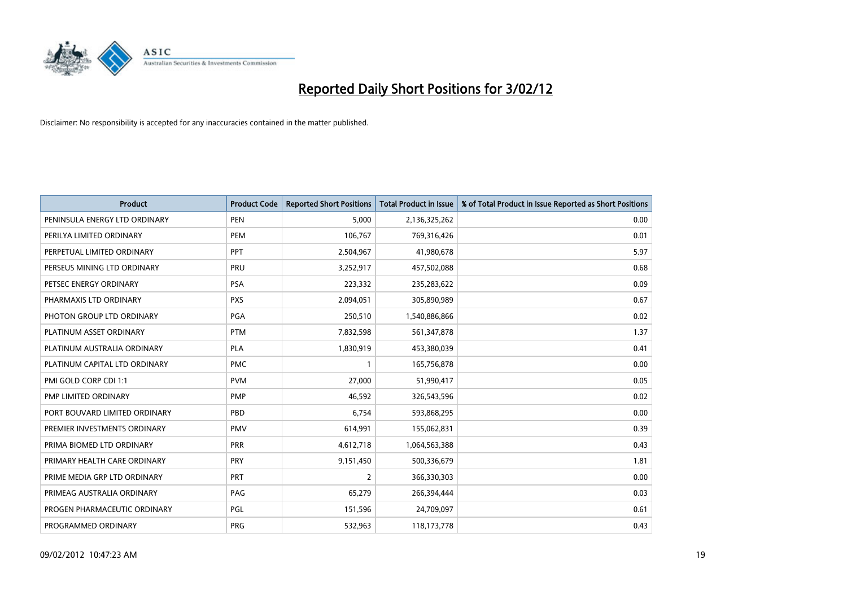

| <b>Product</b>                | <b>Product Code</b> | <b>Reported Short Positions</b> | <b>Total Product in Issue</b> | % of Total Product in Issue Reported as Short Positions |
|-------------------------------|---------------------|---------------------------------|-------------------------------|---------------------------------------------------------|
| PENINSULA ENERGY LTD ORDINARY | <b>PEN</b>          | 5,000                           | 2,136,325,262                 | 0.00                                                    |
| PERILYA LIMITED ORDINARY      | <b>PEM</b>          | 106,767                         | 769,316,426                   | 0.01                                                    |
| PERPETUAL LIMITED ORDINARY    | PPT                 | 2,504,967                       | 41,980,678                    | 5.97                                                    |
| PERSEUS MINING LTD ORDINARY   | PRU                 | 3,252,917                       | 457,502,088                   | 0.68                                                    |
| PETSEC ENERGY ORDINARY        | <b>PSA</b>          | 223,332                         | 235,283,622                   | 0.09                                                    |
| PHARMAXIS LTD ORDINARY        | <b>PXS</b>          | 2,094,051                       | 305,890,989                   | 0.67                                                    |
| PHOTON GROUP LTD ORDINARY     | PGA                 | 250,510                         | 1,540,886,866                 | 0.02                                                    |
| PLATINUM ASSET ORDINARY       | <b>PTM</b>          | 7,832,598                       | 561,347,878                   | 1.37                                                    |
| PLATINUM AUSTRALIA ORDINARY   | <b>PLA</b>          | 1,830,919                       | 453,380,039                   | 0.41                                                    |
| PLATINUM CAPITAL LTD ORDINARY | <b>PMC</b>          | $\mathbf{1}$                    | 165,756,878                   | 0.00                                                    |
| PMI GOLD CORP CDI 1:1         | <b>PVM</b>          | 27,000                          | 51,990,417                    | 0.05                                                    |
| PMP LIMITED ORDINARY          | <b>PMP</b>          | 46,592                          | 326,543,596                   | 0.02                                                    |
| PORT BOUVARD LIMITED ORDINARY | <b>PBD</b>          | 6,754                           | 593,868,295                   | 0.00                                                    |
| PREMIER INVESTMENTS ORDINARY  | <b>PMV</b>          | 614,991                         | 155,062,831                   | 0.39                                                    |
| PRIMA BIOMED LTD ORDINARY     | <b>PRR</b>          | 4,612,718                       | 1,064,563,388                 | 0.43                                                    |
| PRIMARY HEALTH CARE ORDINARY  | <b>PRY</b>          | 9,151,450                       | 500,336,679                   | 1.81                                                    |
| PRIME MEDIA GRP LTD ORDINARY  | <b>PRT</b>          | $\overline{2}$                  | 366,330,303                   | 0.00                                                    |
| PRIMEAG AUSTRALIA ORDINARY    | PAG                 | 65,279                          | 266,394,444                   | 0.03                                                    |
| PROGEN PHARMACEUTIC ORDINARY  | PGL                 | 151,596                         | 24,709,097                    | 0.61                                                    |
| PROGRAMMED ORDINARY           | <b>PRG</b>          | 532,963                         | 118,173,778                   | 0.43                                                    |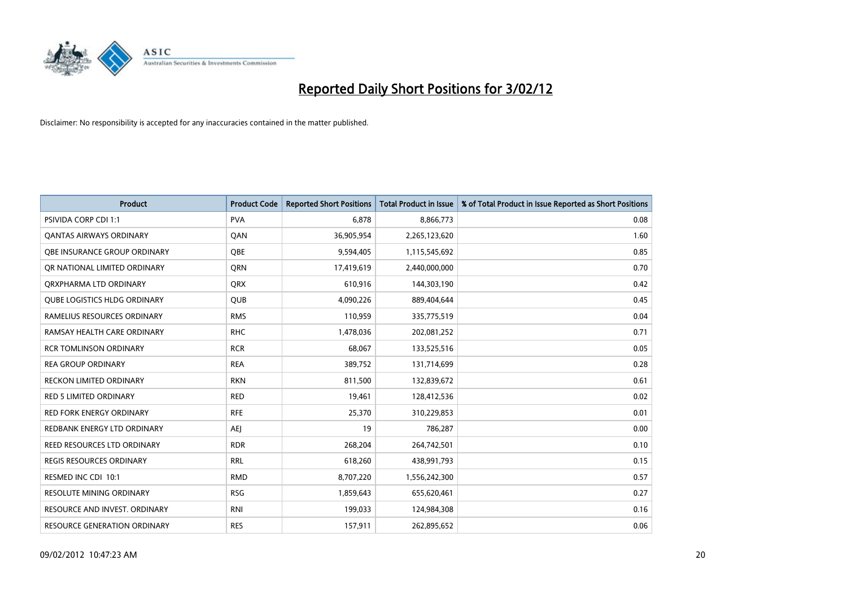

| <b>Product</b>                      | <b>Product Code</b> | <b>Reported Short Positions</b> | <b>Total Product in Issue</b> | % of Total Product in Issue Reported as Short Positions |
|-------------------------------------|---------------------|---------------------------------|-------------------------------|---------------------------------------------------------|
| PSIVIDA CORP CDI 1:1                | <b>PVA</b>          | 6.878                           | 8,866,773                     | 0.08                                                    |
| <b>QANTAS AIRWAYS ORDINARY</b>      | QAN                 | 36,905,954                      | 2,265,123,620                 | 1.60                                                    |
| <b>QBE INSURANCE GROUP ORDINARY</b> | <b>OBE</b>          | 9,594,405                       | 1,115,545,692                 | 0.85                                                    |
| OR NATIONAL LIMITED ORDINARY        | QRN                 | 17,419,619                      | 2,440,000,000                 | 0.70                                                    |
| ORXPHARMA LTD ORDINARY              | <b>QRX</b>          | 610,916                         | 144,303,190                   | 0.42                                                    |
| <b>QUBE LOGISTICS HLDG ORDINARY</b> | <b>QUB</b>          | 4,090,226                       | 889,404,644                   | 0.45                                                    |
| RAMELIUS RESOURCES ORDINARY         | <b>RMS</b>          | 110,959                         | 335,775,519                   | 0.04                                                    |
| RAMSAY HEALTH CARE ORDINARY         | <b>RHC</b>          | 1,478,036                       | 202,081,252                   | 0.71                                                    |
| <b>RCR TOMLINSON ORDINARY</b>       | <b>RCR</b>          | 68,067                          | 133,525,516                   | 0.05                                                    |
| <b>REA GROUP ORDINARY</b>           | <b>REA</b>          | 389,752                         | 131,714,699                   | 0.28                                                    |
| <b>RECKON LIMITED ORDINARY</b>      | <b>RKN</b>          | 811,500                         | 132,839,672                   | 0.61                                                    |
| RED 5 LIMITED ORDINARY              | <b>RED</b>          | 19,461                          | 128,412,536                   | 0.02                                                    |
| <b>RED FORK ENERGY ORDINARY</b>     | <b>RFE</b>          | 25,370                          | 310,229,853                   | 0.01                                                    |
| REDBANK ENERGY LTD ORDINARY         | AEJ                 | 19                              | 786,287                       | 0.00                                                    |
| <b>REED RESOURCES LTD ORDINARY</b>  | <b>RDR</b>          | 268,204                         | 264,742,501                   | 0.10                                                    |
| <b>REGIS RESOURCES ORDINARY</b>     | RRL                 | 618,260                         | 438,991,793                   | 0.15                                                    |
| RESMED INC CDI 10:1                 | <b>RMD</b>          | 8,707,220                       | 1,556,242,300                 | 0.57                                                    |
| <b>RESOLUTE MINING ORDINARY</b>     | <b>RSG</b>          | 1,859,643                       | 655,620,461                   | 0.27                                                    |
| RESOURCE AND INVEST. ORDINARY       | <b>RNI</b>          | 199,033                         | 124,984,308                   | 0.16                                                    |
| RESOURCE GENERATION ORDINARY        | <b>RES</b>          | 157,911                         | 262,895,652                   | 0.06                                                    |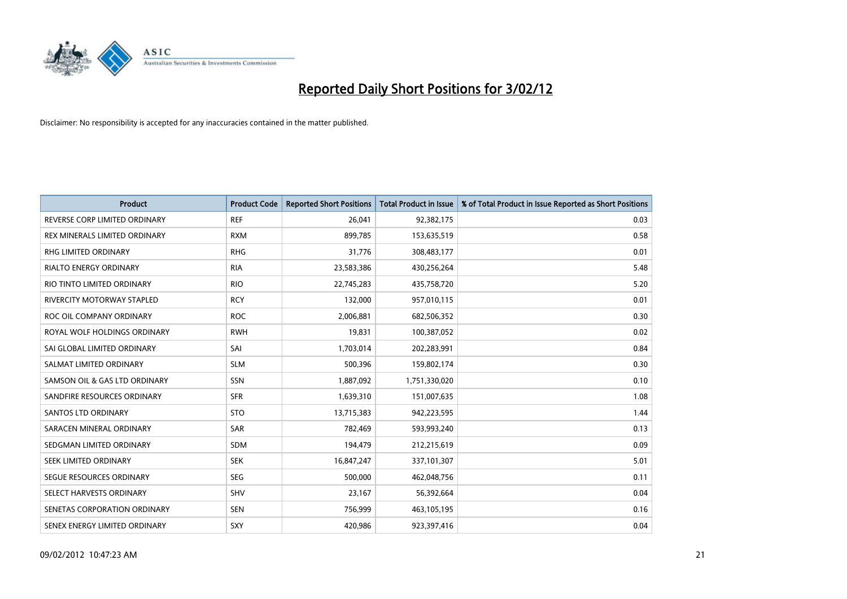

| <b>Product</b>                    | <b>Product Code</b> | <b>Reported Short Positions</b> | <b>Total Product in Issue</b> | % of Total Product in Issue Reported as Short Positions |
|-----------------------------------|---------------------|---------------------------------|-------------------------------|---------------------------------------------------------|
| REVERSE CORP LIMITED ORDINARY     | <b>REF</b>          | 26,041                          | 92,382,175                    | 0.03                                                    |
| REX MINERALS LIMITED ORDINARY     | <b>RXM</b>          | 899,785                         | 153,635,519                   | 0.58                                                    |
| RHG LIMITED ORDINARY              | <b>RHG</b>          | 31,776                          | 308,483,177                   | 0.01                                                    |
| <b>RIALTO ENERGY ORDINARY</b>     | <b>RIA</b>          | 23,583,386                      | 430,256,264                   | 5.48                                                    |
| RIO TINTO LIMITED ORDINARY        | <b>RIO</b>          | 22,745,283                      | 435,758,720                   | 5.20                                                    |
| <b>RIVERCITY MOTORWAY STAPLED</b> | <b>RCY</b>          | 132,000                         | 957,010,115                   | 0.01                                                    |
| ROC OIL COMPANY ORDINARY          | <b>ROC</b>          | 2,006,881                       | 682,506,352                   | 0.30                                                    |
| ROYAL WOLF HOLDINGS ORDINARY      | <b>RWH</b>          | 19,831                          | 100,387,052                   | 0.02                                                    |
| SAI GLOBAL LIMITED ORDINARY       | SAI                 | 1,703,014                       | 202,283,991                   | 0.84                                                    |
| SALMAT LIMITED ORDINARY           | <b>SLM</b>          | 500,396                         | 159,802,174                   | 0.30                                                    |
| SAMSON OIL & GAS LTD ORDINARY     | SSN                 | 1,887,092                       | 1,751,330,020                 | 0.10                                                    |
| SANDFIRE RESOURCES ORDINARY       | <b>SFR</b>          | 1,639,310                       | 151,007,635                   | 1.08                                                    |
| SANTOS LTD ORDINARY               | <b>STO</b>          | 13,715,383                      | 942,223,595                   | 1.44                                                    |
| SARACEN MINERAL ORDINARY          | SAR                 | 782,469                         | 593,993,240                   | 0.13                                                    |
| SEDGMAN LIMITED ORDINARY          | <b>SDM</b>          | 194,479                         | 212,215,619                   | 0.09                                                    |
| SEEK LIMITED ORDINARY             | <b>SEK</b>          | 16,847,247                      | 337,101,307                   | 5.01                                                    |
| SEGUE RESOURCES ORDINARY          | SEG                 | 500,000                         | 462,048,756                   | 0.11                                                    |
| SELECT HARVESTS ORDINARY          | SHV                 | 23,167                          | 56,392,664                    | 0.04                                                    |
| SENETAS CORPORATION ORDINARY      | <b>SEN</b>          | 756,999                         | 463,105,195                   | 0.16                                                    |
| SENEX ENERGY LIMITED ORDINARY     | SXY                 | 420,986                         | 923,397,416                   | 0.04                                                    |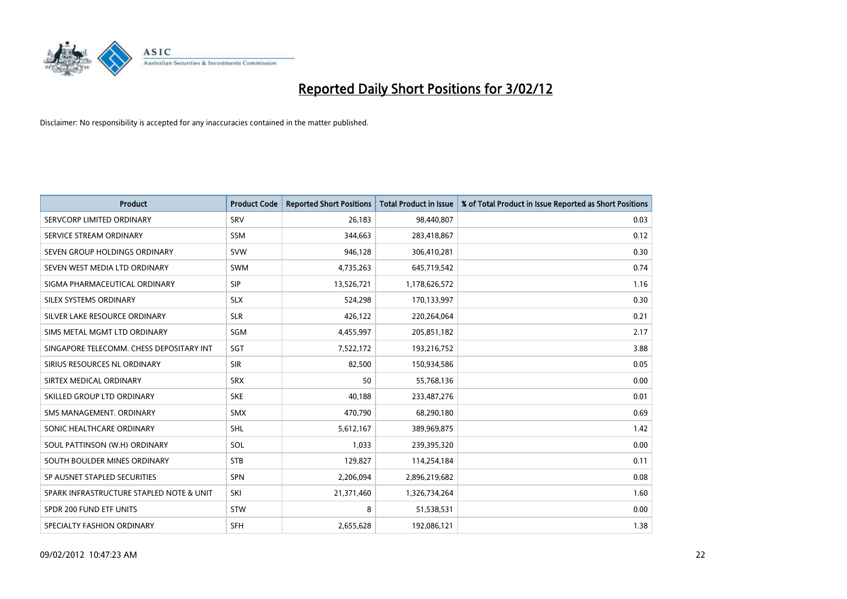

| <b>Product</b>                           | <b>Product Code</b> | <b>Reported Short Positions</b> | <b>Total Product in Issue</b> | % of Total Product in Issue Reported as Short Positions |
|------------------------------------------|---------------------|---------------------------------|-------------------------------|---------------------------------------------------------|
| SERVCORP LIMITED ORDINARY                | SRV                 | 26,183                          | 98,440,807                    | 0.03                                                    |
| SERVICE STREAM ORDINARY                  | <b>SSM</b>          | 344,663                         | 283,418,867                   | 0.12                                                    |
| SEVEN GROUP HOLDINGS ORDINARY            | <b>SVW</b>          | 946,128                         | 306,410,281                   | 0.30                                                    |
| SEVEN WEST MEDIA LTD ORDINARY            | <b>SWM</b>          | 4,735,263                       | 645,719,542                   | 0.74                                                    |
| SIGMA PHARMACEUTICAL ORDINARY            | <b>SIP</b>          | 13,526,721                      | 1,178,626,572                 | 1.16                                                    |
| SILEX SYSTEMS ORDINARY                   | <b>SLX</b>          | 524,298                         | 170,133,997                   | 0.30                                                    |
| SILVER LAKE RESOURCE ORDINARY            | <b>SLR</b>          | 426,122                         | 220,264,064                   | 0.21                                                    |
| SIMS METAL MGMT LTD ORDINARY             | SGM                 | 4,455,997                       | 205,851,182                   | 2.17                                                    |
| SINGAPORE TELECOMM. CHESS DEPOSITARY INT | SGT                 | 7,522,172                       | 193,216,752                   | 3.88                                                    |
| SIRIUS RESOURCES NL ORDINARY             | <b>SIR</b>          | 82,500                          | 150,934,586                   | 0.05                                                    |
| SIRTEX MEDICAL ORDINARY                  | <b>SRX</b>          | 50                              | 55,768,136                    | 0.00                                                    |
| SKILLED GROUP LTD ORDINARY               | <b>SKE</b>          | 40,188                          | 233,487,276                   | 0.01                                                    |
| SMS MANAGEMENT. ORDINARY                 | <b>SMX</b>          | 470,790                         | 68,290,180                    | 0.69                                                    |
| SONIC HEALTHCARE ORDINARY                | SHL                 | 5,612,167                       | 389,969,875                   | 1.42                                                    |
| SOUL PATTINSON (W.H) ORDINARY            | SOL                 | 1,033                           | 239,395,320                   | 0.00                                                    |
| SOUTH BOULDER MINES ORDINARY             | <b>STB</b>          | 129,827                         | 114,254,184                   | 0.11                                                    |
| SP AUSNET STAPLED SECURITIES             | SPN                 | 2,206,094                       | 2,896,219,682                 | 0.08                                                    |
| SPARK INFRASTRUCTURE STAPLED NOTE & UNIT | SKI                 | 21,371,460                      | 1,326,734,264                 | 1.60                                                    |
| SPDR 200 FUND ETF UNITS                  | <b>STW</b>          | 8                               | 51,538,531                    | 0.00                                                    |
| SPECIALTY FASHION ORDINARY               | <b>SFH</b>          | 2,655,628                       | 192,086,121                   | 1.38                                                    |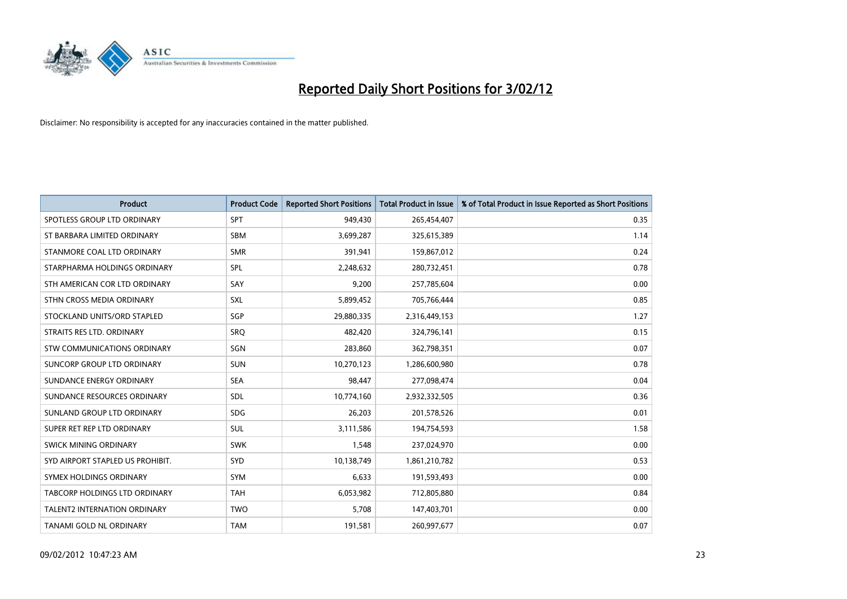

| <b>Product</b>                       | <b>Product Code</b> | <b>Reported Short Positions</b> | <b>Total Product in Issue</b> | % of Total Product in Issue Reported as Short Positions |
|--------------------------------------|---------------------|---------------------------------|-------------------------------|---------------------------------------------------------|
| SPOTLESS GROUP LTD ORDINARY          | <b>SPT</b>          | 949,430                         | 265,454,407                   | 0.35                                                    |
| ST BARBARA LIMITED ORDINARY          | <b>SBM</b>          | 3,699,287                       | 325,615,389                   | 1.14                                                    |
| STANMORE COAL LTD ORDINARY           | <b>SMR</b>          | 391,941                         | 159,867,012                   | 0.24                                                    |
| STARPHARMA HOLDINGS ORDINARY         | <b>SPL</b>          | 2,248,632                       | 280,732,451                   | 0.78                                                    |
| STH AMERICAN COR LTD ORDINARY        | SAY                 | 9,200                           | 257,785,604                   | 0.00                                                    |
| STHN CROSS MEDIA ORDINARY            | <b>SXL</b>          | 5,899,452                       | 705,766,444                   | 0.85                                                    |
| STOCKLAND UNITS/ORD STAPLED          | <b>SGP</b>          | 29,880,335                      | 2,316,449,153                 | 1.27                                                    |
| STRAITS RES LTD. ORDINARY            | <b>SRO</b>          | 482,420                         | 324,796,141                   | 0.15                                                    |
| STW COMMUNICATIONS ORDINARY          | SGN                 | 283,860                         | 362,798,351                   | 0.07                                                    |
| SUNCORP GROUP LTD ORDINARY           | <b>SUN</b>          | 10,270,123                      | 1,286,600,980                 | 0.78                                                    |
| SUNDANCE ENERGY ORDINARY             | <b>SEA</b>          | 98,447                          | 277,098,474                   | 0.04                                                    |
| SUNDANCE RESOURCES ORDINARY          | <b>SDL</b>          | 10,774,160                      | 2,932,332,505                 | 0.36                                                    |
| SUNLAND GROUP LTD ORDINARY           | <b>SDG</b>          | 26,203                          | 201,578,526                   | 0.01                                                    |
| SUPER RET REP LTD ORDINARY           | SUL                 | 3,111,586                       | 194,754,593                   | 1.58                                                    |
| SWICK MINING ORDINARY                | <b>SWK</b>          | 1,548                           | 237,024,970                   | 0.00                                                    |
| SYD AIRPORT STAPLED US PROHIBIT.     | <b>SYD</b>          | 10,138,749                      | 1,861,210,782                 | 0.53                                                    |
| SYMEX HOLDINGS ORDINARY              | <b>SYM</b>          | 6,633                           | 191,593,493                   | 0.00                                                    |
| <b>TABCORP HOLDINGS LTD ORDINARY</b> | <b>TAH</b>          | 6,053,982                       | 712,805,880                   | 0.84                                                    |
| <b>TALENT2 INTERNATION ORDINARY</b>  | <b>TWO</b>          | 5,708                           | 147,403,701                   | 0.00                                                    |
| TANAMI GOLD NL ORDINARY              | <b>TAM</b>          | 191,581                         | 260,997,677                   | 0.07                                                    |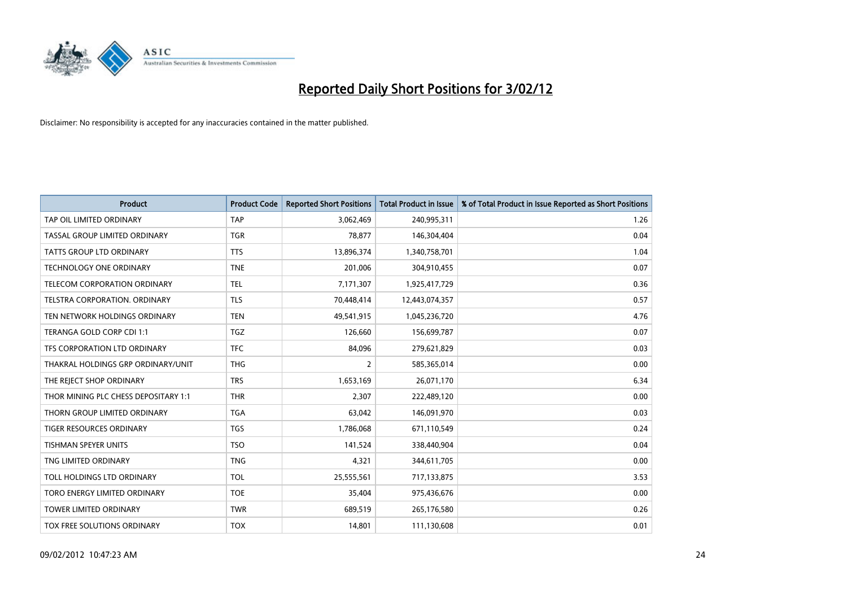

| <b>Product</b>                       | <b>Product Code</b> | <b>Reported Short Positions</b> | <b>Total Product in Issue</b> | % of Total Product in Issue Reported as Short Positions |
|--------------------------------------|---------------------|---------------------------------|-------------------------------|---------------------------------------------------------|
| TAP OIL LIMITED ORDINARY             | <b>TAP</b>          | 3,062,469                       | 240,995,311                   | 1.26                                                    |
| TASSAL GROUP LIMITED ORDINARY        | <b>TGR</b>          | 78,877                          | 146,304,404                   | 0.04                                                    |
| <b>TATTS GROUP LTD ORDINARY</b>      | <b>TTS</b>          | 13,896,374                      | 1,340,758,701                 | 1.04                                                    |
| TECHNOLOGY ONE ORDINARY              | <b>TNE</b>          | 201,006                         | 304,910,455                   | 0.07                                                    |
| <b>TELECOM CORPORATION ORDINARY</b>  | <b>TEL</b>          | 7,171,307                       | 1,925,417,729                 | 0.36                                                    |
| TELSTRA CORPORATION, ORDINARY        | <b>TLS</b>          | 70,448,414                      | 12,443,074,357                | 0.57                                                    |
| TEN NETWORK HOLDINGS ORDINARY        | <b>TEN</b>          | 49,541,915                      | 1,045,236,720                 | 4.76                                                    |
| TERANGA GOLD CORP CDI 1:1            | TGZ                 | 126,660                         | 156,699,787                   | 0.07                                                    |
| TFS CORPORATION LTD ORDINARY         | <b>TFC</b>          | 84,096                          | 279,621,829                   | 0.03                                                    |
| THAKRAL HOLDINGS GRP ORDINARY/UNIT   | <b>THG</b>          | $\overline{2}$                  | 585,365,014                   | 0.00                                                    |
| THE REJECT SHOP ORDINARY             | <b>TRS</b>          | 1,653,169                       | 26,071,170                    | 6.34                                                    |
| THOR MINING PLC CHESS DEPOSITARY 1:1 | <b>THR</b>          | 2,307                           | 222,489,120                   | 0.00                                                    |
| THORN GROUP LIMITED ORDINARY         | <b>TGA</b>          | 63,042                          | 146,091,970                   | 0.03                                                    |
| <b>TIGER RESOURCES ORDINARY</b>      | TGS                 | 1,786,068                       | 671,110,549                   | 0.24                                                    |
| <b>TISHMAN SPEYER UNITS</b>          | <b>TSO</b>          | 141,524                         | 338,440,904                   | 0.04                                                    |
| TNG LIMITED ORDINARY                 | <b>TNG</b>          | 4,321                           | 344,611,705                   | 0.00                                                    |
| TOLL HOLDINGS LTD ORDINARY           | <b>TOL</b>          | 25,555,561                      | 717,133,875                   | 3.53                                                    |
| TORO ENERGY LIMITED ORDINARY         | <b>TOE</b>          | 35,404                          | 975,436,676                   | 0.00                                                    |
| <b>TOWER LIMITED ORDINARY</b>        | <b>TWR</b>          | 689,519                         | 265,176,580                   | 0.26                                                    |
| TOX FREE SOLUTIONS ORDINARY          | <b>TOX</b>          | 14.801                          | 111,130,608                   | 0.01                                                    |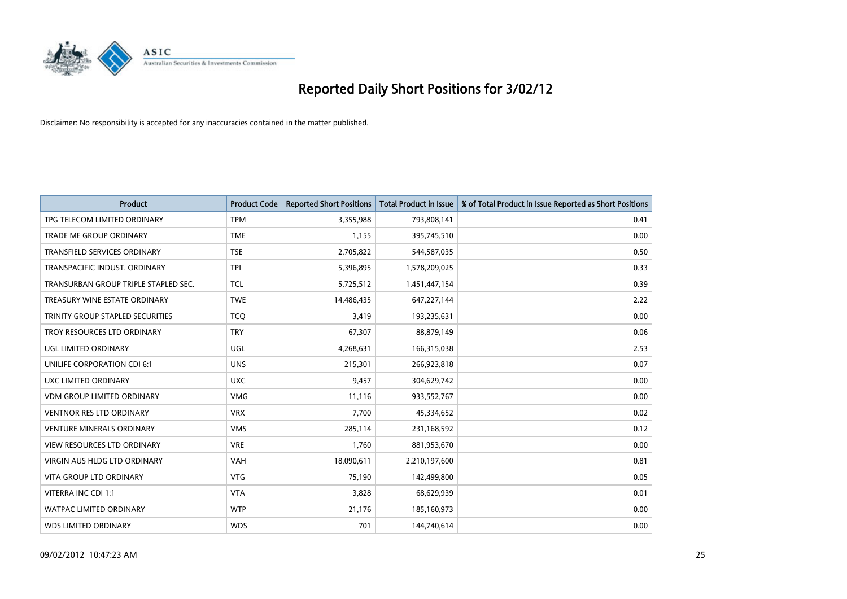

| <b>Product</b>                       | <b>Product Code</b> | <b>Reported Short Positions</b> | <b>Total Product in Issue</b> | % of Total Product in Issue Reported as Short Positions |
|--------------------------------------|---------------------|---------------------------------|-------------------------------|---------------------------------------------------------|
| TPG TELECOM LIMITED ORDINARY         | <b>TPM</b>          | 3,355,988                       | 793,808,141                   | 0.41                                                    |
| TRADE ME GROUP ORDINARY              | <b>TME</b>          | 1,155                           | 395,745,510                   | 0.00                                                    |
| TRANSFIELD SERVICES ORDINARY         | <b>TSE</b>          | 2,705,822                       | 544,587,035                   | 0.50                                                    |
| TRANSPACIFIC INDUST. ORDINARY        | <b>TPI</b>          | 5,396,895                       | 1,578,209,025                 | 0.33                                                    |
| TRANSURBAN GROUP TRIPLE STAPLED SEC. | <b>TCL</b>          | 5,725,512                       | 1,451,447,154                 | 0.39                                                    |
| TREASURY WINE ESTATE ORDINARY        | <b>TWE</b>          | 14,486,435                      | 647,227,144                   | 2.22                                                    |
| TRINITY GROUP STAPLED SECURITIES     | <b>TCO</b>          | 3,419                           | 193,235,631                   | 0.00                                                    |
| TROY RESOURCES LTD ORDINARY          | <b>TRY</b>          | 67,307                          | 88,879,149                    | 0.06                                                    |
| <b>UGL LIMITED ORDINARY</b>          | UGL                 | 4,268,631                       | 166,315,038                   | 2.53                                                    |
| UNILIFE CORPORATION CDI 6:1          | <b>UNS</b>          | 215,301                         | 266,923,818                   | 0.07                                                    |
| UXC LIMITED ORDINARY                 | <b>UXC</b>          | 9,457                           | 304,629,742                   | 0.00                                                    |
| <b>VDM GROUP LIMITED ORDINARY</b>    | <b>VMG</b>          | 11,116                          | 933,552,767                   | 0.00                                                    |
| <b>VENTNOR RES LTD ORDINARY</b>      | <b>VRX</b>          | 7,700                           | 45,334,652                    | 0.02                                                    |
| <b>VENTURE MINERALS ORDINARY</b>     | <b>VMS</b>          | 285,114                         | 231,168,592                   | 0.12                                                    |
| <b>VIEW RESOURCES LTD ORDINARY</b>   | <b>VRE</b>          | 1,760                           | 881,953,670                   | 0.00                                                    |
| <b>VIRGIN AUS HLDG LTD ORDINARY</b>  | <b>VAH</b>          | 18,090,611                      | 2,210,197,600                 | 0.81                                                    |
| <b>VITA GROUP LTD ORDINARY</b>       | <b>VTG</b>          | 75,190                          | 142,499,800                   | 0.05                                                    |
| VITERRA INC CDI 1:1                  | <b>VTA</b>          | 3,828                           | 68,629,939                    | 0.01                                                    |
| <b>WATPAC LIMITED ORDINARY</b>       | <b>WTP</b>          | 21,176                          | 185,160,973                   | 0.00                                                    |
| <b>WDS LIMITED ORDINARY</b>          | <b>WDS</b>          | 701                             | 144,740,614                   | 0.00                                                    |